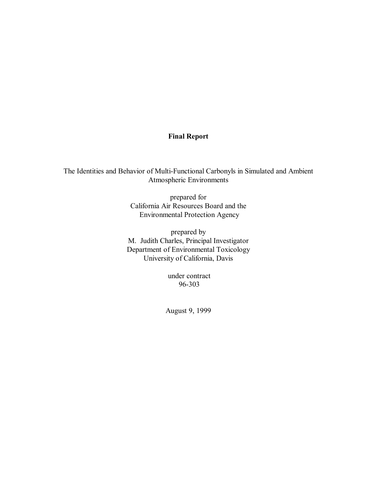# **Final Report**

The Identities and Behavior of Multi-Functional Carbonyls in Simulated and Ambient Atmospheric Environments

> prepared for California Air Resources Board and the Environmental Protection Agency

prepared by M. Judith Charles, Principal Investigator Department of Environmental Toxicology University of California, Davis

> under contract 96-303

August 9, 1999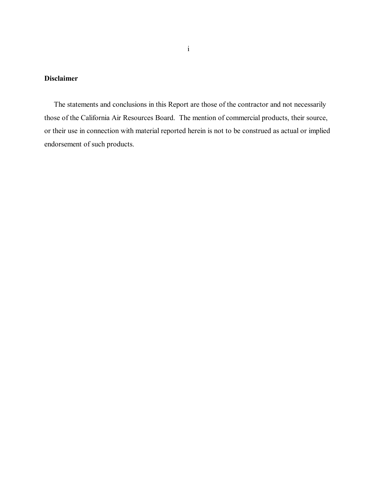# **Disclaimer**

 The statements and conclusions in this Report are those of the contractor and not necessarily those of the California Air Resources Board. The mention of commercial products, their source, or their use in connection with material reported herein is not to be construed as actual or implied endorsement of such products.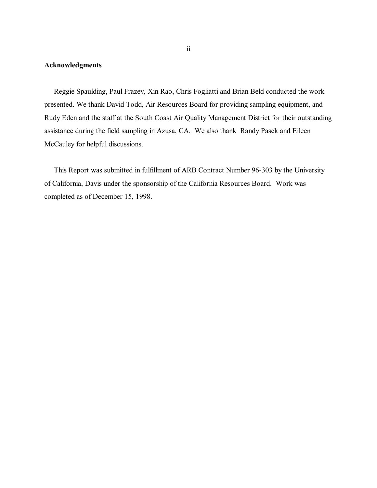# **Acknowledgments**

 Reggie Spaulding, Paul Frazey, Xin Rao, Chris Fogliatti and Brian Beld conducted the work presented. We thank David Todd, Air Resources Board for providing sampling equipment, and Rudy Eden and the staff at the South Coast Air Quality Management District for their outstanding assistance during the field sampling in Azusa, CA. We also thank Randy Pasek and Eileen McCauley for helpful discussions.

 This Report was submitted in fulfillment of ARB Contract Number 96-303 by the University of California, Davis under the sponsorship of the California Resources Board. Work was completed as of December 15, 1998.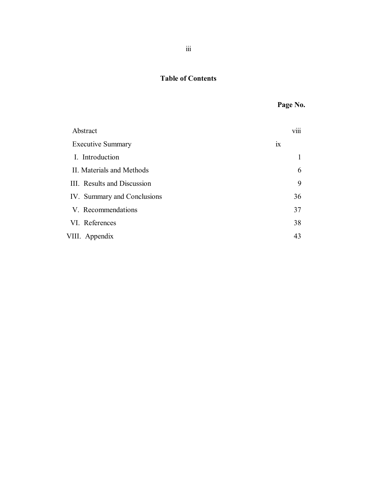# **Table of Contents**

| Abstract                    |    | <b>V111</b> |
|-----------------------------|----|-------------|
| <b>Executive Summary</b>    | 1X |             |
| I. Introduction             |    |             |
| II. Materials and Methods   |    | 6           |
| III. Results and Discussion |    | 9           |
| IV. Summary and Conclusions |    | 36          |
| V. Recommendations          |    | 37          |
| VI. References              |    | 38          |
| VIII. Appendix              |    | 43          |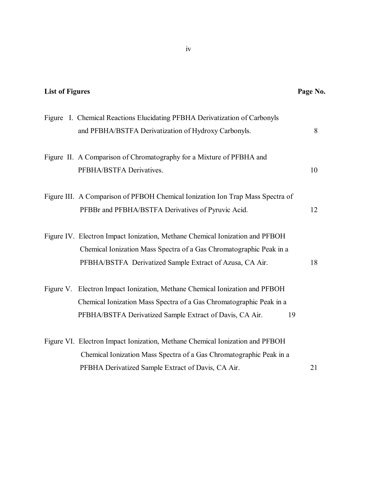| <b>List of Figures</b>                                                                                                                                                                                          | Page No. |
|-----------------------------------------------------------------------------------------------------------------------------------------------------------------------------------------------------------------|----------|
| Figure I. Chemical Reactions Elucidating PFBHA Derivatization of Carbonyls<br>and PFBHA/BSTFA Derivatization of Hydroxy Carbonyls.                                                                              | 8        |
| Figure II. A Comparison of Chromatography for a Mixture of PFBHA and<br>PFBHA/BSTFA Derivatives.                                                                                                                | 10       |
| Figure III. A Comparison of PFBOH Chemical Ionization Ion Trap Mass Spectra of<br>PFBBr and PFBHA/BSTFA Derivatives of Pyruvic Acid.                                                                            | 12       |
| Figure IV. Electron Impact Ionization, Methane Chemical Ionization and PFBOH<br>Chemical Ionization Mass Spectra of a Gas Chromatographic Peak in a<br>PFBHA/BSTFA Derivatized Sample Extract of Azusa, CA Air. | 18       |
| Figure V. Electron Impact Ionization, Methane Chemical Ionization and PFBOH<br>Chemical Ionization Mass Spectra of a Gas Chromatographic Peak in a<br>PFBHA/BSTFA Derivatized Sample Extract of Davis, CA Air.  | 19       |
| Figure VI. Electron Impact Ionization, Methane Chemical Ionization and PFBOH<br>Chemical Ionization Mass Spectra of a Gas Chromatographic Peak in a<br>PFBHA Derivatized Sample Extract of Davis, CA Air.       | 21       |

iv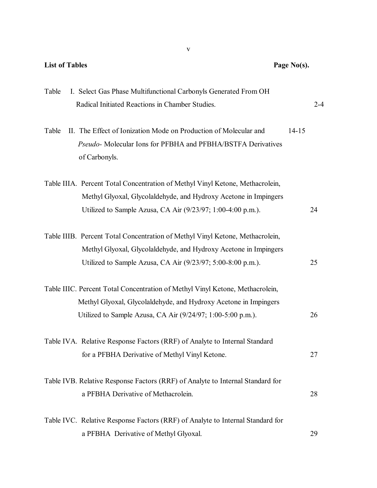| <b>List of Tables</b><br>Page No(s).                                                                                                                                                                             |           |         |
|------------------------------------------------------------------------------------------------------------------------------------------------------------------------------------------------------------------|-----------|---------|
| I. Select Gas Phase Multifunctional Carbonyls Generated From OH<br>Table<br>Radical Initiated Reactions in Chamber Studies.                                                                                      |           | $2 - 4$ |
| II. The Effect of Ionization Mode on Production of Molecular and<br>Table<br>Pseudo- Molecular Ions for PFBHA and PFBHA/BSTFA Derivatives<br>of Carbonyls.                                                       | $14 - 15$ |         |
| Table IIIA. Percent Total Concentration of Methyl Vinyl Ketone, Methacrolein,<br>Methyl Glyoxal, Glycolaldehyde, and Hydroxy Acetone in Impingers<br>Utilized to Sample Azusa, CA Air (9/23/97; 1:00-4:00 p.m.). |           | 24      |
| Table IIIB. Percent Total Concentration of Methyl Vinyl Ketone, Methacrolein,<br>Methyl Glyoxal, Glycolaldehyde, and Hydroxy Acetone in Impingers<br>Utilized to Sample Azusa, CA Air (9/23/97; 5:00-8:00 p.m.). |           | 25      |
| Table IIIC. Percent Total Concentration of Methyl Vinyl Ketone, Methacrolein,<br>Methyl Glyoxal, Glycolaldehyde, and Hydroxy Acetone in Impingers<br>Utilized to Sample Azusa, CA Air (9/24/97; 1:00-5:00 p.m.). |           | 26      |
| Table IVA. Relative Response Factors (RRF) of Analyte to Internal Standard<br>for a PFBHA Derivative of Methyl Vinyl Ketone.                                                                                     |           | 27      |
| Table IVB. Relative Response Factors (RRF) of Analyte to Internal Standard for<br>a PFBHA Derivative of Methacrolein.                                                                                            |           | 28      |
| Table IVC. Relative Response Factors (RRF) of Analyte to Internal Standard for<br>a PFBHA Derivative of Methyl Glyoxal.                                                                                          |           | 29      |

v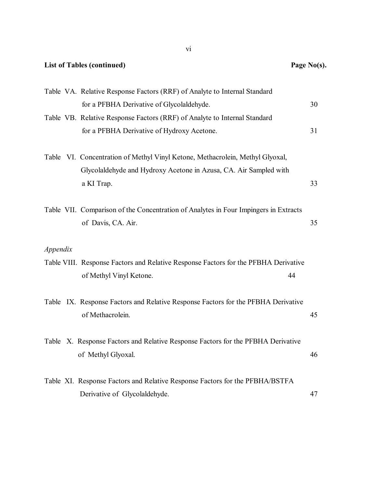| <b>List of Tables (continued)</b>                                                                             | Page No(s). |
|---------------------------------------------------------------------------------------------------------------|-------------|
| Table VA. Relative Response Factors (RRF) of Analyte to Internal Standard                                     |             |
| for a PFBHA Derivative of Glycolaldehyde.                                                                     | 30          |
| Table VB. Relative Response Factors (RRF) of Analyte to Internal Standard                                     |             |
| for a PFBHA Derivative of Hydroxy Acetone.                                                                    | 31          |
| Table VI. Concentration of Methyl Vinyl Ketone, Methacrolein, Methyl Glyoxal,                                 |             |
| Glycolaldehyde and Hydroxy Acetone in Azusa, CA. Air Sampled with                                             |             |
| a KI Trap.                                                                                                    | 33          |
| Table VII. Comparison of the Concentration of Analytes in Four Impingers in Extracts<br>of Davis, CA. Air.    | 35          |
| Appendix                                                                                                      |             |
| Table VIII. Response Factors and Relative Response Factors for the PFBHA Derivative                           |             |
| of Methyl Vinyl Ketone.<br>44                                                                                 |             |
| Table IX. Response Factors and Relative Response Factors for the PFBHA Derivative                             |             |
| of Methacrolein.                                                                                              | 45          |
| X. Response Factors and Relative Response Factors for the PFBHA Derivative<br>Table<br>of Methyl Glyoxal.     | 46          |
| Table XI. Response Factors and Relative Response Factors for the PFBHA/BSTFA<br>Derivative of Glycolaldehyde. | 47          |

vi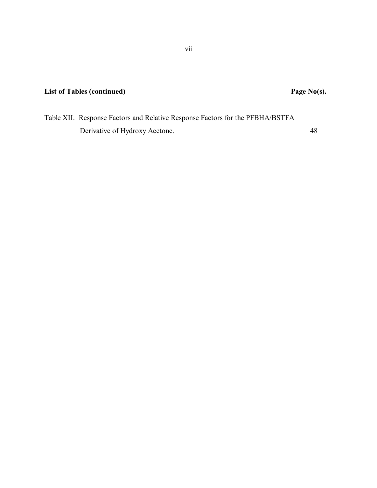Table XII. Response Factors and Relative Response Factors for the PFBHA/BSTFA Derivative of Hydroxy Acetone. 48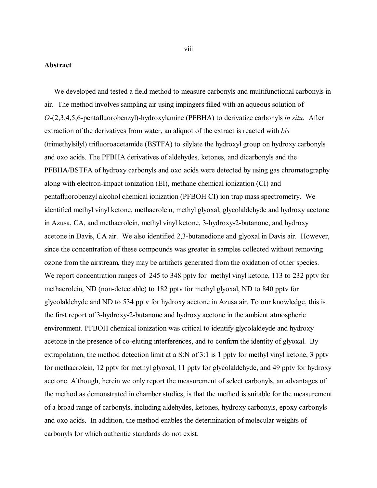## <span id="page-8-0"></span>**Abstract**

 *O*-(2,3,4,5,6-pentafluorobenzyl)-hydroxylamine (PFBHA) to derivatize carbonyls *in situ.* After We developed and tested a field method to measure carbonyls and multifunctional carbonyls in air. The method involves sampling air using impingers filled with an aqueous solution of extraction of the derivatives from water, an aliquot of the extract is reacted with *bis*  (trimethylsilyl) trifluoroacetamide (BSTFA) to silylate the hydroxyl group on hydroxy carbonyls and oxo acids. The PFBHA derivatives of aldehydes, ketones, and dicarbonyls and the PFBHA/BSTFA of hydroxy carbonyls and oxo acids were detected by using gas chromatography along with electron-impact ionization (EI), methane chemical ionization (CI) and pentafluorobenzyl alcohol chemical ionization (PFBOH CI) ion trap mass spectrometry. We identified methyl vinyl ketone, methacrolein, methyl glyoxal, glycolaldehyde and hydroxy acetone in Azusa, CA, and methacrolein, methyl vinyl ketone, 3-hydroxy-2-butanone, and hydroxy acetone in Davis, CA air. We also identified 2,3-butanedione and glyoxal in Davis air. However, since the concentration of these compounds was greater in samples collected without removing ozone from the airstream, they may be artifacts generated from the oxidation of other species. We report concentration ranges of 245 to 348 pptv for methyl vinyl ketone, 113 to 232 pptv for methacrolein, ND (non-detectable) to 182 pptv for methyl glyoxal, ND to 840 pptv for glycolaldehyde and ND to 534 pptv for hydroxy acetone in Azusa air. To our knowledge, this is the first report of 3-hydroxy-2-butanone and hydroxy acetone in the ambient atmospheric environment. PFBOH chemical ionization was critical to identify glycolaldeyde and hydroxy acetone in the presence of co-eluting interferences, and to confirm the identity of glyoxal. By extrapolation, the method detection limit at a S:N of 3:1 is 1 pptv for methyl vinyl ketone, 3 pptv for methacrolein, 12 pptv for methyl glyoxal, 11 pptv for glycolaldehyde, and 49 pptv for hydroxy acetone. Although, herein we only report the measurement of select carbonyls, an advantages of the method as demonstrated in chamber studies, is that the method is suitable for the measurement of a broad range of carbonyls, including aldehydes, ketones, hydroxy carbonyls, epoxy carbonyls and oxo acids. In addition, the method enables the determination of molecular weights of carbonyls for which authentic standards do not exist.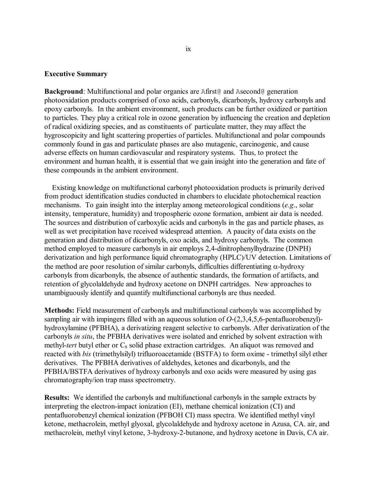# <span id="page-9-0"></span>**Executive Summary**

 these compounds in the ambient environment. **Background**: Multifunctional and polar organics are Afirst@ and Asecond@ generation photooxidation products comprised of oxo acids, carbonyls, dicarbonyls, hydroxy carbonyls and epoxy carbonyls. In the ambient environment, such products can be further oxidized or partition to particles. They play a critical role in ozone generation by influencing the creation and depletion of radical oxidizing species, and as constituents of particulate matter, they may affect the hygroscopicity and light scattering properties of particles. Multifunctional and polar compounds commonly found in gas and particulate phases are also mutagenic, carcinogenic, and cause adverse effects on human cardiovascular and respiratory systems. Thus, to protect the environment and human health, it is essential that we gain insight into the generation and fate of

 Existing knowledge on multifunctional carbonyl photooxidation products is primarily derived from product identification studies conducted in chambers to elucidate photochemical reaction mechanisms. To gain insight into the interplay among meteorological conditions (*e.g*., solar intensity, temperature, humidity) and tropospheric ozone formation, ambient air data is needed. The sources and distribution of carboxylic acids and carbonyls in the gas and particle phases, as well as wet precipitation have received widespread attention. A paucity of data exists on the generation and distribution of dicarbonyls, oxo acids, and hydroxy carbonyls. The common method employed to measure carbonyls in air employs 2,4-dinitrophenylhydrazine (DNPH) derivatization and high performance liquid chromatography (HPLC)/UV detection. Limitations of the method are poor resolution of similar carbonyls, difficulties differentiating  $\alpha$ -hydroxy carbonyls from dicarbonyls, the absence of authentic standards, the formation of artifacts, and retention of glycolaldehyde and hydroxy acetone on DNPH cartridges. New approaches to unambiguously identify and quantify multifunctional carbonyls are thus needed.

**Methods:** Field measurement of carbonyls and multifunctional carbonyls was accomplished by sampling air with impingers filled with an aqueous solution of *O*-(2,3,4,5,6-pentafluorobenzyl) hydroxylamine (PFBHA), a derivatizing reagent selective to carbonyls. After derivatization of the carbonyls *in situ*, the PFBHA derivatives were isolated and enriched by solvent extraction with methyl-*tert* butyl ether or C<sub>8</sub> solid phase extraction cartridges. An aliquot was removed and reacted with *bis* (trimethylsilyl) trifluoroacetamide (BSTFA) to form oxime - trimethyl silyl ether derivatives. The PFBHA derivatives of aldehydes, ketones and dicarbonyls, and the PFBHA/BSTFA derivatives of hydroxy carbonyls and oxo acids were measured by using gas chromatography/ion trap mass spectrometry.

**Results:** We identified the carbonyls and multifunctional carbonyls in the sample extracts by interpreting the electron-impact ionization (EI), methane chemical ionization (CI) and pentafluorobenzyl chemical ionization (PFBOH CI) mass spectra. We identified methyl vinyl ketone, methacrolein, methyl glyoxal, glycolaldehyde and hydroxy acetone in Azusa, CA. air, and methacrolein, methyl vinyl ketone, 3-hydroxy-2-butanone, and hydroxy acetone in Davis, CA air.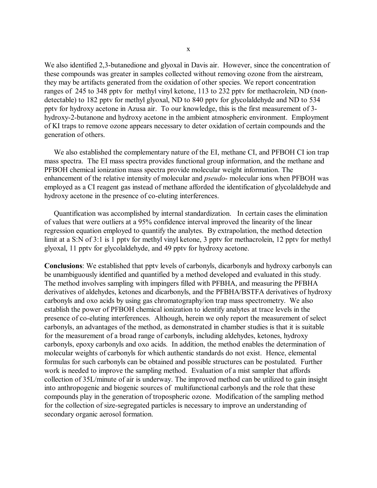We also identified 2,3-butanedione and glyoxal in Davis air. However, since the concentration of these compounds was greater in samples collected without removing ozone from the airstream, they may be artifacts generated from the oxidation of other species. We report concentration ranges of 245 to 348 pptv for methyl vinyl ketone, 113 to 232 pptv for methacrolein, ND (nondetectable) to 182 pptv for methyl glyoxal, ND to 840 pptv for glycolaldehyde and ND to 534 pptv for hydroxy acetone in Azusa air. To our knowledge, this is the first measurement of 3 hydroxy-2-butanone and hydroxy acetone in the ambient atmospheric environment. Employment of KI traps to remove ozone appears necessary to deter oxidation of certain compounds and the generation of others.

 We also established the complementary nature of the EI, methane CI, and PFBOH CI ion trap mass spectra. The EI mass spectra provides functional group information, and the methane and PFBOH chemical ionization mass spectra provide molecular weight information. The enhancement of the relative intensity of molecular and *pseudo*- molecular ions when PFBOH was employed as a CI reagent gas instead of methane afforded the identification of glycolaldehyde and hydroxy acetone in the presence of co-eluting interferences.

 glyoxal, 11 pptv for glycolaldehyde, and 49 pptv for hydroxy acetone. Quantification was accomplished by internal standardization. In certain cases the elimination of values that were outliers at a 95% confidence interval improved the linearity of the linear regression equation employed to quantify the analytes. By extrapolation, the method detection limit at a S:N of 3:1 is 1 pptv for methyl vinyl ketone, 3 pptv for methacrolein, 12 pptv for methyl

**Conclusions**: We established that pptv levels of carbonyls, dicarbonyls and hydroxy carbonyls can be unambiguously identified and quantified by a method developed and evaluated in this study. The method involves sampling with impingers filled with PFBHA, and measuring the PFBHA derivatives of aldehydes, ketones and dicarbonyls, and the PFBHA/BSTFA derivatives of hydroxy carbonyls and oxo acids by using gas chromatography/ion trap mass spectrometry. We also establish the power of PFBOH chemical ionization to identify analytes at trace levels in the presence of co-eluting interferences. Although, herein we only report the measurement of select carbonyls, an advantages of the method, as demonstrated in chamber studies is that it is suitable for the measurement of a broad range of carbonyls, including aldehydes, ketones, hydroxy carbonyls, epoxy carbonyls and oxo acids. In addition, the method enables the determination of molecular weights of carbonyls for which authentic standards do not exist. Hence, elemental formulas for such carbonyls can be obtained and possible structures can be postulated. Further work is needed to improve the sampling method. Evaluation of a mist sampler that affords collection of 35L/minute of air is underway. The improved method can be utilized to gain insight into anthropogenic and biogenic sources of multifunctional carbonyls and the role that these compounds play in the generation of tropospheric ozone. Modification of the sampling method for the collection of size-segregated particles is necessary to improve an understanding of secondary organic aerosol formation.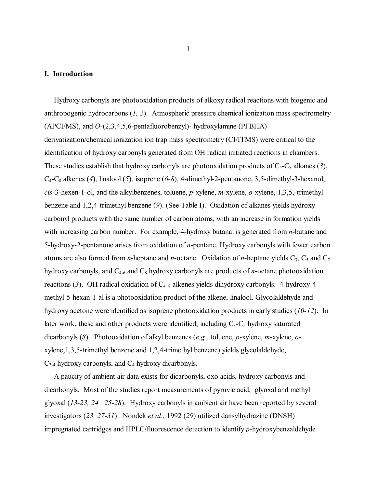## <span id="page-11-0"></span>**I. Introduction**

 *cis*-3-hexen-1-ol, and the alkylbenzenes, toluene, *p*-xylene, *m*-xylene, *o*-xylene, 1,3,5,-trimethyl dicarbonyls (*8*). Photooxidation of alkyl benzenes (*e.g.*, toluene, *p*-xylene, *m*-xylene, *o*- Hydroxy carbonyls are photooxidation products of alkoxy radical reactions with biogenic and anthropogenic hydrocarbons (*1, 2*). Atmospheric pressure chemical ionization mass spectrometry (APCI/MS), and *O*-(2,3,4,5,6-pentafluorobenzyl)- hydroxylamine (PFBHA) derivatization/chemical ionization ion trap mass spectrometry (CI/ITMS) were critical to the identification of hydroxy carbonyls generated from OH radical initiated reactions in chambers. These studies establish that hydroxy carbonyls are photooxidation products of  $C_4$ - $C_8$  alkanes (3), C4-C8 alkenes (*4*), linalool (*5*), isoprene (*6-8*), 4-dimethyl-2-pentanone, 3,5-dimethyl-3-hexanol, benzene and 1,2,4-trimethyl benzene (*9*). (See Table I). Oxidation of alkanes yields hydroxy carbonyl products with the same number of carbon atoms, with an increase in formation yields with increasing carbon number. For example, 4-hydroxy butanal is generated from *n*-butane and 5-hydroxy-2-pentanone arises from oxidation of *n*-pentane. Hydroxy carbonyls with fewer carbon atoms are also formed from *n*-heptane and *n*-octane. Oxidation of *n*-heptane yields  $C_3$ ,  $C_5$  and  $C_7$ hydroxy carbonyls, and  $C_{4-6}$  and  $C_8$  hydroxy carbonyls are products of *n*-octane photooxidation reactions  $(3)$ . OH radical oxidation of  $C_{4}$ -<sub>8</sub> alkenes yields dihydroxy carbonyls. 4-hydroxy-4methyl-5-hexan-1-al is a photooxidation product of the alkene, linalool. Glycolaldehyde and hydroxy acetone were identified as isoprene photooxidation products in early studies (*10-12*). In later work, these and other products were identified, including  $C_3 - C_5$  hydroxy saturated xylene,1,3,5-trimethyl benzene and 1,2,4-trimethyl benzene) yields glycolaldehyde,  $C_{3-4}$  hydroxy carbonyls, and  $C_4$  hydroxy dicarbonyls.

 glyoxal (*13-23, 24 , 25-28*). Hydroxy carbonyls in ambient air have been reported by several A paucity of ambient air data exists for dicarbonyls, oxo acids, hydroxy carbonyls and dicarbonyls. Most of the studies report measurements of pyruvic acid, glyoxal and methyl investigators (*23, 27-31*). Nondek *et al*., 1992 (*29*) utilized dansylhydrazine (DNSH) impregnated cartridges and HPLC/fluorescence detection to identify *p*-hydroxybenzaldehyde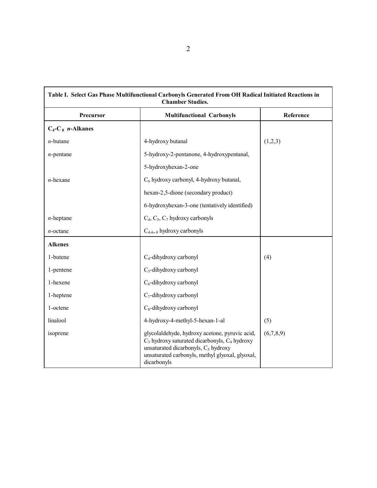| Table I. Select Gas Phase Multifunctional Carbonyls Generated From OH Radical Initiated Reactions in<br><b>Chamber Studies.</b> |                                                                                                                                                                                                                  |           |  |
|---------------------------------------------------------------------------------------------------------------------------------|------------------------------------------------------------------------------------------------------------------------------------------------------------------------------------------------------------------|-----------|--|
| Precursor                                                                                                                       | <b>Multifunctional Carbonyls</b>                                                                                                                                                                                 | Reference |  |
| $C_4$ -C <sub>8</sub> <i>n</i> -Alkanes                                                                                         |                                                                                                                                                                                                                  |           |  |
| $n$ -butane                                                                                                                     | 4-hydroxy butanal                                                                                                                                                                                                | (1,2,3)   |  |
| $n$ -pentane                                                                                                                    | 5-hydroxy-2-pentanone, 4-hydroxypentanal,                                                                                                                                                                        |           |  |
|                                                                                                                                 | 5-hydroxyhexan-2-one                                                                                                                                                                                             |           |  |
| $n$ -hexane                                                                                                                     | C <sub>6</sub> hydroxy carbonyl, 4-hydroxy butanal,                                                                                                                                                              |           |  |
|                                                                                                                                 | hexan-2,5-dione (secondary product)                                                                                                                                                                              |           |  |
|                                                                                                                                 | 6-hydroxyhexan-3-one (tentatively identified)                                                                                                                                                                    |           |  |
| $n$ -heptane                                                                                                                    | $C_4$ , $C_5$ , $C_7$ hydroxy carbonyls                                                                                                                                                                          |           |  |
| $n$ -octane                                                                                                                     | $C_{4-6}$ , a hydroxy carbonyls                                                                                                                                                                                  |           |  |
| <b>Alkenes</b>                                                                                                                  |                                                                                                                                                                                                                  |           |  |
| 1-butene                                                                                                                        | $C_4$ -dihydroxy carbonyl                                                                                                                                                                                        | (4)       |  |
| 1-pentene                                                                                                                       | $C_5$ -dihydroxy carbonyl                                                                                                                                                                                        |           |  |
| 1-hexene                                                                                                                        | $C_6$ -dihydroxy carbonyl                                                                                                                                                                                        |           |  |
| 1-heptene                                                                                                                       | $C_7$ -dihydroxy carbonyl                                                                                                                                                                                        |           |  |
| 1-octene                                                                                                                        | $C_8$ -dihydroxy carbonyl                                                                                                                                                                                        |           |  |
| linalool                                                                                                                        | 4-hydroxy-4-methyl-5-hexan-1-al                                                                                                                                                                                  | (5)       |  |
| isoprene                                                                                                                        | glycolaldehyde, hydroxy acetone, pyruvic acid,<br>$C_3$ hydroxy saturated dicarbonyls, $C_4$ hydroxy<br>unsaturated dicarbonyls, $C_5$ hydroxy<br>unsaturated carbonyls, methyl glyoxal, glyoxal,<br>dicarbonyls | (6,7,8,9) |  |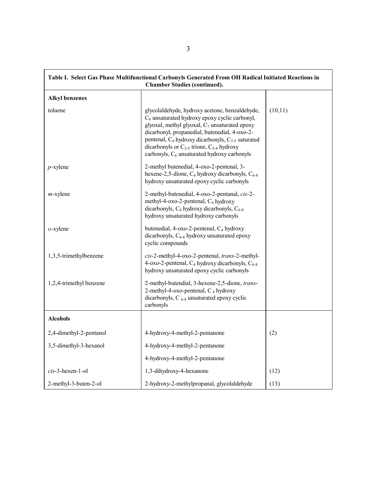|                         | Table I. Select Gas Phase Multifunctional Carbonyls Generated From OH Radical Initiated Reactions in<br><b>Chamber Studies (continued).</b>                                                                                                                                                                                                                                                          |         |
|-------------------------|------------------------------------------------------------------------------------------------------------------------------------------------------------------------------------------------------------------------------------------------------------------------------------------------------------------------------------------------------------------------------------------------------|---------|
| <b>Alkyl benzenes</b>   |                                                                                                                                                                                                                                                                                                                                                                                                      |         |
| toluene                 | glycolaldehyde, hydroxy acetone, benzaldehyde,<br>$C_6$ unsaturated hydroxy epoxy cyclic carbonyl,<br>glyoxal, methyl glyoxal, $C_7$ unsaturated epoxy<br>dicarbonyl, propanedial, butenedial, 4-oxo-2-<br>pentenal, C <sub>4</sub> hydroxy dicarbonyls, C <sub>3-5</sub> saturated<br>dicarbonyls or $C_{3-5}$ trione, $C_{3-4}$ hydroxy<br>carbonyls, C <sub>6</sub> unsaturated hydroxy carbonyls | (10,11) |
| $p$ -xylene             | 2-methyl butenedial, 4-oxo-2-pentenal, 3-<br>hexene-2,5-dione, $C_4$ hydroxy dicarbonyls, $C_{6-8}$<br>hydroxy unsaturated epoxy cyclic carbonyls                                                                                                                                                                                                                                                    |         |
| $m$ -xylene             | 2-methyl-butenedial, 4-oxo-2-pentanal, cis-2-<br>methyl-4-oxo-2-pentenal, C <sub>4</sub> hydroxy<br>dicarbonyls, $C_4$ hydroxy dicarbonyls, $C_{6-8}$<br>hydroxy unsaturated hydroxy carbonyls                                                                                                                                                                                                       |         |
| $o$ -xylene             | butenedial, 4-oxo-2-pentenal, C <sub>4</sub> hydroxy<br>dicarbonyls, C <sub>6-8</sub> hydroxy unsaturated epoxy<br>cyclic compounds                                                                                                                                                                                                                                                                  |         |
| 1,3,5-trimethylbenzene  | cis-2-methyl-4-oxo-2-pentenal, trans-2-methyl-<br>4-oxo-2-pentenal, C <sub>4</sub> hydroxy dicarbonyls, C <sub>6-8</sub><br>hydroxy unsaturated epoxy cyclic carbonyls                                                                                                                                                                                                                               |         |
| 1,2,4-trimethyl benzene | 2-methyl-butendial, 3-hexene-2,5-dione, trans-<br>2-methyl-4-oxo-pentenal, C <sub>4</sub> hydroxy<br>dicarbonyls, C <sub>6-8</sub> unsaturated epoxy cyclic<br>carbonyls                                                                                                                                                                                                                             |         |
| <b>Alcohols</b>         |                                                                                                                                                                                                                                                                                                                                                                                                      |         |
| 2,4-dimethyl-2-pentanol | 4-hydroxy-4-methyl-2-pentanone                                                                                                                                                                                                                                                                                                                                                                       | (2)     |
| 3,5-dimethyl-3-hexanol  | 4-hydroxy-4-methyl-2-pentanone                                                                                                                                                                                                                                                                                                                                                                       |         |
|                         | 4-hydroxy-4-methyl-2-pentanone                                                                                                                                                                                                                                                                                                                                                                       |         |
| $cis$ -3-hexen-1-ol     | 1,3-dihydroxy-4-hexanone                                                                                                                                                                                                                                                                                                                                                                             | (12)    |
| 2-methyl-3-buten-2-ol   | 2-hydroxy-2-methylpropanal, glycolaldehyde                                                                                                                                                                                                                                                                                                                                                           | (13)    |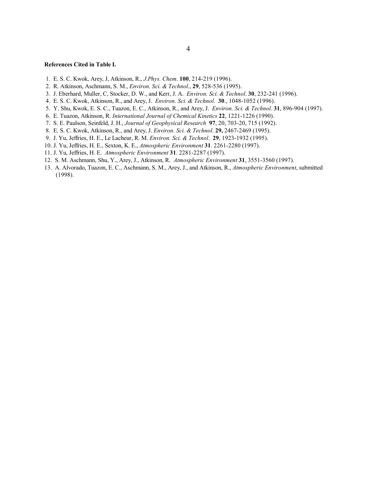#### **References Cited in Table I.**

- 1. E. S. C. Kwok, Arey, J, Atkinson, R., *J.Phys. Chem*. **100**, 214-219 (1996).
- 2. R. Atkinson, Aschmann, S. M., *Environ. Sci. & Technol*., **29**, 528-536 (1995).
- 3. J. Eberhard, Muller, C, Stocker, D. W., and Kerr, J. A. *Environ. Sci. & Technol*. **30**, 232-241 (1996).
- 4. E. S. C. Kwok, Atkinson, R., and Arey, J. *Environ. Sci. & Technol*. **30**., 1048-1052 (1996).
- 5. Y. Shu, Kwok, E. S. C., Tuazon, E. C., Atkinson, R., and Arey, J. *Environ. Sci. & Technol*. **31**, 896-904 (1997).
- 6. E. Tuazon, Atkinson, R. *International Journal of Chemical Kinetics* **22**, 1221-1226 (1990).
- 7. S. E. Paulson, Seinfeld, J. H., *Journal of Geophysical Research* **97**, 20, 703-20, 715 (1992).
- 8. E. S. C. Kwok, Atkinson, R., and Arey, J. *Environ. Sci. & Technol*. **29,** 2467-2469 (1995).
- 9. J. Yu, Jeffries, H. E., Le Lacheur, R. M. *Environ. Sci. & Technol*. **29**, 1923-1932 (1995).
- 10. J. Yu, Jeffries, H. E., Sexton, K. E., *Atmospheric Environment* **31**. 2261-2280 (1997).
- 11. J. Yu, Jeffries, H. E. *Atmospheric Environment* **31**. 2281-2287 (1997).
- 12. S. M. Aschmann, Shu, Y., Arey, J., Atkinson, R. *Atmospheric Environment* **31**, 3551-3560 (1997).
- 13. A. Alvorado, Tuazon, E. C., Aschmann, S. M., Arey, J., and Atkinson, R., *Atmospheric Environment*, submitted (1998).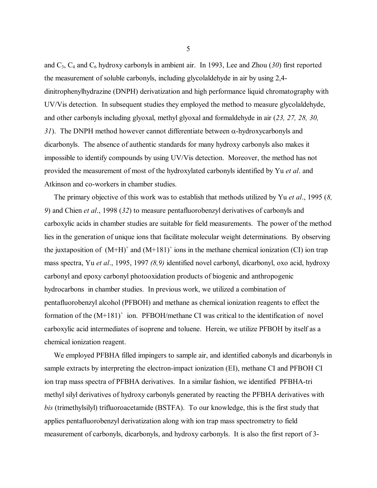and  $C_3$ ,  $C_4$  and  $C_6$  hydroxy carbonyls in ambient air. In 1993, Lee and Zhou (30) first reported the measurement of soluble carbonyls, including glycolaldehyde in air by using 2,4 dinitrophenylhydrazine (DNPH) derivatization and high performance liquid chromatography with UV/Vis detection. In subsequent studies they employed the method to measure glycolaldehyde, and other carbonyls including glyoxal, methyl glyoxal and formaldehyde in air (*23, 27, 28, 30, 31*). The DNPH method however cannot differentiate between α-hydroxycarbonyls and dicarbonyls. The absence of authentic standards for many hydroxy carbonyls also makes it impossible to identify compounds by using UV/Vis detection. Moreover, the method has not provided the measurement of most of the hydroxylated carbonyls identified by Yu *et al*. and Atkinson and co-workers in chamber studies.

 The primary objective of this work was to establish that methods utilized by Yu *et al*., 1995 (*8, 9*) and Chien *et al*., 1998 (*32*) to measure pentafluorobenzyl derivatives of carbonyls and carboxylic acids in chamber studies are suitable for field measurements. The power of the method lies in the generation of unique ions that facilitate molecular weight determinations. By observing the juxtaposition of  $(M+H)^+$  and  $(M+181)^+$  ions in the methane chemical ionization (CI) ion trap mass spectra, Yu *et al*., 1995, 1997 *(8,9)* identified novel carbonyl, dicarbonyl, oxo acid, hydroxy carbonyl and epoxy carbonyl photooxidation products of biogenic and anthropogenic hydrocarbons in chamber studies. In previous work, we utilized a combination of pentafluorobenzyl alcohol (PFBOH) and methane as chemical ionization reagents to effect the formation of the  $(M+181)^+$  ion. PFBOH/methane CI was critical to the identification of novel carboxylic acid intermediates of isoprene and toluene. Herein, we utilize PFBOH by itself as a chemical ionization reagent.

 We employed PFBHA filled impingers to sample air, and identified cabonyls and dicarbonyls in sample extracts by interpreting the electron-impact ionization (EI), methane CI and PFBOH CI ion trap mass spectra of PFBHA derivatives. In a similar fashion, we identified PFBHA-tri methyl silyl derivatives of hydroxy carbonyls generated by reacting the PFBHA derivatives with *bis* (trimethylsilyl) trifluoroacetamide (BSTFA). To our knowledge, this is the first study that applies pentafluorobenzyl derivatization along with ion trap mass spectrometry to field measurement of carbonyls, dicarbonyls, and hydroxy carbonyls. It is also the first report of 3-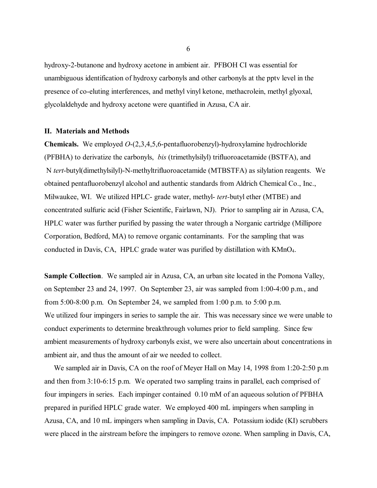<span id="page-16-0"></span>hydroxy-2-butanone and hydroxy acetone in ambient air. PFBOH CI was essential for unambiguous identification of hydroxy carbonyls and other carbonyls at the pptv level in the presence of co-eluting interferences, and methyl vinyl ketone, methacrolein, methyl glyoxal, glycolaldehyde and hydroxy acetone were quantified in Azusa, CA air.

#### **II. Materials and Methods**

 **Chemicals.** We employed *O*-(2,3,4,5,6-pentafluorobenzyl)-hydroxylamine hydrochloride (PFBHA) to derivatize the carbonyls, *bis* (trimethylsilyl) trifluoroacetamide (BSTFA), and N *tert*-butyl(dimethylsilyl)-N-methyltrifluoroacetamide (MTBSTFA) as silylation reagents. We obtained pentafluorobenzyl alcohol and authentic standards from Aldrich Chemical Co., Inc., Milwaukee, WI. We utilized HPLC- grade water, methyl- *tert-*butyl ether (MTBE) and concentrated sulfuric acid (Fisher Scientific, Fairlawn, NJ). Prior to sampling air in Azusa, CA, HPLC water was further purified by passing the water through a Norganic cartridge (Millipore Corporation, Bedford, MA) to remove organic contaminants. For the sampling that was conducted in Davis, CA, HPLC grade water was purified by distillation with KMnO4.

Sample Collection. We sampled air in Azusa, CA, an urban site located in the Pomona Valley, on September 23 and 24, 1997. On September 23, air was sampled from 1:00-4:00 p.m., and from 5:00-8:00 p.m. On September 24, we sampled from 1:00 p.m. to 5:00 p.m. We utilized four impingers in series to sample the air. This was necessary since we were unable to conduct experiments to determine breakthrough volumes prior to field sampling. Since few ambient measurements of hydroxy carbonyls exist, we were also uncertain about concentrations in ambient air, and thus the amount of air we needed to collect.

 We sampled air in Davis, CA on the roof of Meyer Hall on May 14, 1998 from 1:20-2:50 p.m and then from 3:10-6:15 p.m. We operated two sampling trains in parallel, each comprised of four impingers in series. Each impinger contained 0.10 mM of an aqueous solution of PFBHA prepared in purified HPLC grade water. We employed 400 mL impingers when sampling in Azusa, CA, and 10 mL impingers when sampling in Davis, CA. Potassium iodide (KI) scrubbers were placed in the airstream before the impingers to remove ozone. When sampling in Davis, CA,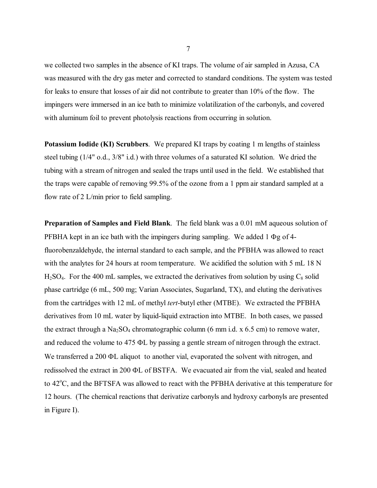with aluminum foil to prevent photolysis reactions from occurring in solution. we collected two samples in the absence of KI traps. The volume of air sampled in Azusa, CA was measured with the dry gas meter and corrected to standard conditions. The system was tested for leaks to ensure that losses of air did not contribute to greater than 10% of the flow. The impingers were immersed in an ice bath to minimize volatilization of the carbonyls, and covered

**Potassium Iodide (KI) Scrubbers**. We prepared KI traps by coating 1 m lengths of stainless steel tubing (1/4" o.d., 3/8" i.d.) with three volumes of a saturated KI solution. We dried the tubing with a stream of nitrogen and sealed the traps until used in the field. We established that the traps were capable of removing 99.5% of the ozone from a 1 ppm air standard sampled at a flow rate of 2 L/min prior to field sampling.

 $H<sub>2</sub>SO<sub>4</sub>$ . For the 400 mL samples, we extracted the derivatives from solution by using  $C<sub>8</sub>$  solid **Preparation of Samples and Field Blank**. The field blank was a 0.01 mM aqueous solution of PFBHA kept in an ice bath with the impingers during sampling. We added 1 Φg of 4 fluorobenzaldehyde, the internal standard to each sample, and the PFBHA was allowed to react with the analytes for 24 hours at room temperature. We acidified the solution with 5 mL 18 N phase cartridge (6 mL, 500 mg; Varian Associates, Sugarland, TX), and eluting the derivatives from the cartridges with 12 mL of methyl *tert*-butyl ether (MTBE). We extracted the PFBHA derivatives from 10 mL water by liquid-liquid extraction into MTBE. In both cases, we passed the extract through a  $Na<sub>2</sub>SO<sub>4</sub>$  chromatographic column (6 mm i.d. x 6.5 cm) to remove water, and reduced the volume to 475 ΦL by passing a gentle stream of nitrogen through the extract. We transferred a 200 ΦL aliquot to another vial, evaporated the solvent with nitrogen, and redissolved the extract in 200 ΦL of BSTFA. We evacuated air from the vial, sealed and heated to 42°C, and the BFTSFA was allowed to react with the PFBHA derivative at this temperature for 12 hours. (The chemical reactions that derivatize carbonyls and hydroxy carbonyls are presented in Figure I).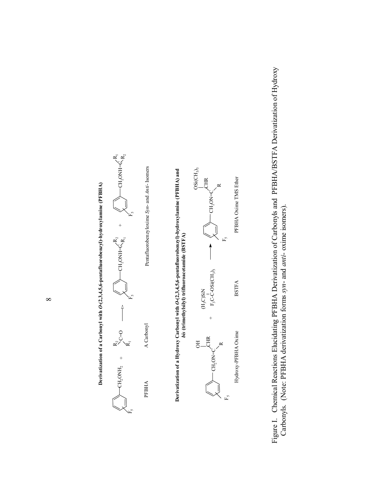

Figure I. Chemical Reactions Elucidating PFBHA Derivatization of Carbonyls and PFBHA/BSTFA Derivatization of Hydroxy Figure I. Chemical Reactions Elucidating PFBHA Derivatization of Carbonyls and PFBHA/BSTFA Derivatization of Hydroxy Carbonyls. (Note: PFBHA derivatization forms syn- and anti- oxime isomers). Carbonyls. (Note: PFBHA derivatization forms *syn*- and *anti*- oxime isomers).

**Derivatization of a Carbonyl with** *O***-(2,3,4,5,6-pentafluorobenzyl)-hydroxylamine (PFBHA)** 

Derivatization of a Carbonyl with O-(2,3,4,5,6-pentafluorobenzyl)-hydroxylamine (PFBHA)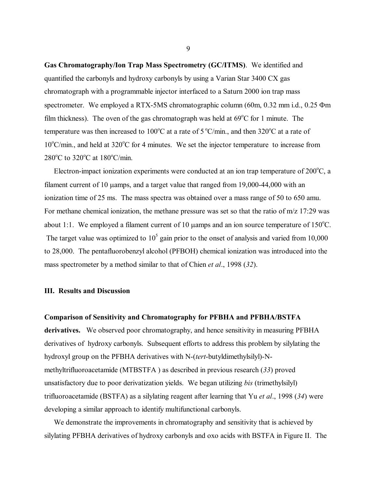<span id="page-19-0"></span>**Gas Chromatography/Ion Trap Mass Spectrometry (GC/ITMS)**. We identified and quantified the carbonyls and hydroxy carbonyls by using a Varian Star 3400 CX gas chromatograph with a programmable injector interfaced to a Saturn 2000 ion trap mass spectrometer. We employed a RTX-5MS chromatographic column (60m, 0.32 mm i.d., 0.25 Φm film thickness). The oven of the gas chromatograph was held at  $69^{\circ}$ C for 1 minute. The temperature was then increased to 100 $^{\circ}$ C at a rate of 5 $^{\circ}$ C/min., and then 320 $^{\circ}$ C at a rate of 10°C/min., and held at 320°C for 4 minutes. We set the injector temperature to increase from  $280^{\circ}$ C to  $320^{\circ}$ C at  $180^{\circ}$ C/min.

Electron-impact ionization experiments were conducted at an ion trap temperature of  $200^{\circ}$ C, a filament current of 10 µamps, and a target value that ranged from 19,000-44,000 with an ionization time of 25 ms. The mass spectra was obtained over a mass range of 50 to 650 amu. For methane chemical ionization, the methane pressure was set so that the ratio of  $m/z$  17:29 was about 1:1. We employed a filament current of 10  $\mu$ amps and an ion source temperature of 150°C. The target value was optimized to  $10<sup>5</sup>$  gain prior to the onset of analysis and varied from 10,000 to 28,000. The pentafluorobenzyl alcohol (PFBOH) chemical ionization was introduced into the mass spectrometer by a method similar to that of Chien *et al*., 1998 (*32*).

#### **III. Results and Discussion**

#### **Comparison of Sensitivity and Chromatography for PFBHA and PFBHA/BSTFA**

derivatives. We observed poor chromatography, and hence sensitivity in measuring PFBHA derivatives of hydroxy carbonyls. Subsequent efforts to address this problem by silylating the hydroxyl group on the PFBHA derivatives with N-(*tert*-butyldimethylsilyl)-Nmethyltrifluoroacetamide (MTBSTFA ) as described in previous research (*33*) proved unsatisfactory due to poor derivatization yields. We began utilizing *bis* (trimethylsilyl) trifluoroacetamide (BSTFA) as a silylating reagent after learning that Yu *et al*., 1998 (*34*) were developing a similar approach to identify multifunctional carbonyls.

 We demonstrate the improvements in chromatography and sensitivity that is achieved by silylating PFBHA derivatives of hydroxy carbonyls and oxo acids with BSTFA in Figure II. The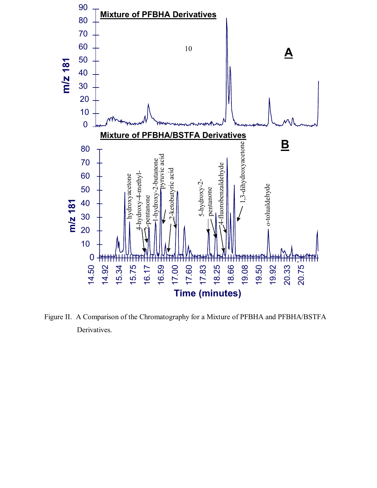

Figure II. A Comparison of the Chromatography for a Mixture of PFBHA and PFBHA/BSTFA Derivatives.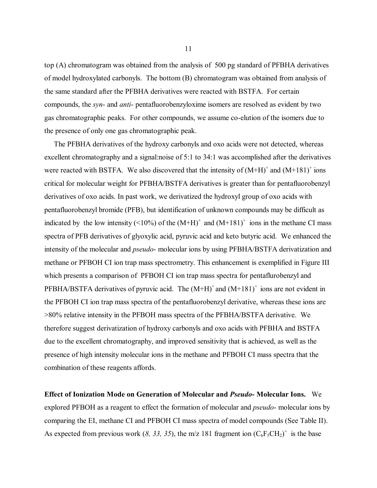top (A) chromatogram was obtained from the analysis of 500 pg standard of PFBHA derivatives of model hydroxylated carbonyls. The bottom (B) chromatogram was obtained from analysis of the same standard after the PFBHA derivatives were reacted with BSTFA. For certain compounds, the *syn*- and *anti*- pentafluorobenzyloxime isomers are resolved as evident by two gas chromatographic peaks. For other compounds, we assume co-elution of the isomers due to the presence of only one gas chromatographic peak.

 The PFBHA derivatives of the hydroxy carbonyls and oxo acids were not detected, whereas excellent chromatography and a signal:noise of 5:1 to 34:1 was accomplished after the derivatives were reacted with BSTFA. We also discovered that the intensity of  $(M+H)^+$  and  $(M+181)^+$  ions critical for molecular weight for PFBHA/BSTFA derivatives is greater than for pentafluorobenzyl derivatives of oxo acids. In past work, we derivatized the hydroxyl group of oxo acids with pentafluorobenzyl bromide (PFB), but identification of unknown compounds may be difficult as indicated by the low intensity ( $\leq 10\%$ ) of the  $(M+H)^+$  and  $(M+181)^+$  ions in the methane CI mass spectra of PFB derivatives of glyoxylic acid, pyruvic acid and keto butyric acid. We enhanced the intensity of the molecular and *pseudo*- molecular ions by using PFBHA/BSTFA derivatization and methane or PFBOH CI ion trap mass spectrometry. This enhancement is exemplified in Figure III which presents a comparison of PFBOH CI ion trap mass spectra for pentaflurobenzyl and PFBHA/BSTFA derivatives of pyruvic acid. The  $(M+H)^+$  and  $(M+181)^+$  ions are not evident in the PFBOH CI ion trap mass spectra of the pentafluorobenzyl derivative, whereas these ions are >80% relative intensity in the PFBOH mass spectra of the PFBHA/BSTFA derivative. We therefore suggest derivatization of hydroxy carbonyls and oxo acids with PFBHA and BSTFA due to the excellent chromatography, and improved sensitivity that is achieved, as well as the presence of high intensity molecular ions in the methane and PFBOH CI mass spectra that the combination of these reagents affords.

**Effect of Ionization Mode on Generation of Molecular and** *Pseudo***- Molecular Ions.** We explored PFBOH as a reagent to effect the formation of molecular and *pseudo*- molecular ions by comparing the EI, methane CI and PFBOH CI mass spectra of model compounds (See Table II). As expected from previous work (8, 33, 35), the m/z 181 fragment ion  $(C_6F_5CH_2)^+$  is the base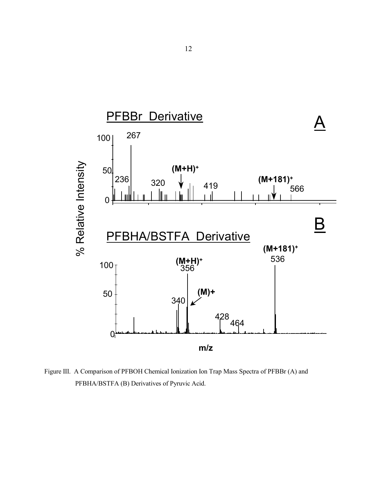<span id="page-22-0"></span>

Figure III. A Comparison of PFBOH Chemical Ionization Ion Trap Mass Spectra of PFBBr (A) and PFBHA/BSTFA (B) Derivatives of Pyruvic Acid.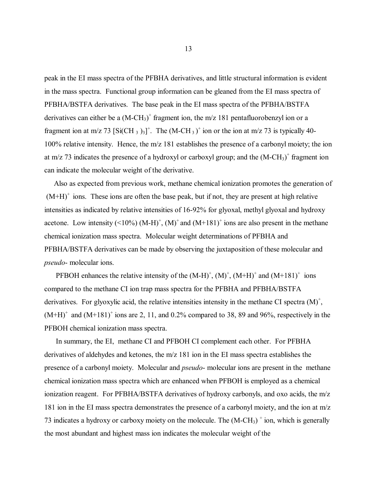peak in the EI mass spectra of the PFBHA derivatives, and little structural information is evident in the mass spectra. Functional group information can be gleaned from the EI mass spectra of PFBHA/BSTFA derivatives. The base peak in the EI mass spectra of the PFBHA/BSTFA derivatives can either be a  $(M-CH<sub>3</sub>)<sup>+</sup>$  fragment ion, the m/z 181 pentafluorobenzyl ion or a fragment ion at m/z 73  $\left[Si(CH_3)_3\right]^+$ . The  $(M-CH_3)^+$  ion or the ion at m/z 73 is typically 40-100% relative intensity. Hence, the m/z 181 establishes the presence of a carbonyl moiety; the ion at m/z 73 indicates the presence of a hydroxyl or carboxyl group; and the  $(M-CH<sub>3</sub>)<sup>+</sup>$  fragment ion can indicate the molecular weight of the derivative.

 Also as expected from previous work, methane chemical ionization promotes the generation of  $(M+H)^+$  ions. These ions are often the base peak, but if not, they are present at high relative intensities as indicated by relative intensities of 16-92% for glyoxal, methyl glyoxal and hydroxy acetone. Low intensity  $(10\%) (M-H)^{+}$ ,  $(M)^{+}$  and  $(M+181)^{+}$  ions are also present in the methane chemical ionization mass spectra. Molecular weight determinations of PFBHA and PFBHA/BSTFA derivatives can be made by observing the juxtaposition of these molecular and *pseudo*- molecular ions.

PFBOH enhances the relative intensity of the  $(M-H)^{+}$ ,  $(M)^{+}$ ,  $(M+H)^{+}$  and  $(M+181)^{+}$  ions compared to the methane CI ion trap mass spectra for the PFBHA and PFBHA/BSTFA derivatives. For glyoxylic acid, the relative intensities intensity in the methane CI spectra  $(M)^+$ ,  $(M+H)^+$  and  $(M+181)^+$  ions are 2, 11, and 0.2% compared to 38, 89 and 96%, respectively in the PFBOH chemical ionization mass spectra.

 In summary, the EI, methane CI and PFBOH CI complement each other. For PFBHA derivatives of aldehydes and ketones, the m/z 181 ion in the EI mass spectra establishes the presence of a carbonyl moiety. Molecular and *pseudo*- molecular ions are present in the methane chemical ionization mass spectra which are enhanced when PFBOH is employed as a chemical ionization reagent. For PFBHA/BSTFA derivatives of hydroxy carbonyls, and oxo acids, the m/z 181 ion in the EI mass spectra demonstrates the presence of a carbonyl moiety, and the ion at m/z 73 indicates a hydroxy or carboxy moiety on the molecule. The  $(M-CH<sub>3</sub>)$ <sup>+</sup> ion, which is generally the most abundant and highest mass ion indicates the molecular weight of the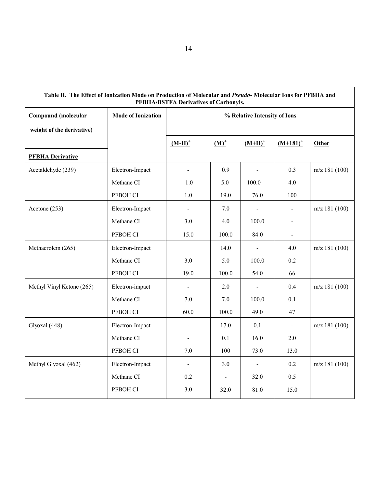| Table II. The Effect of Ionization Mode on Production of Molecular and Pseudo-Molecular Ions for PFBHA and<br>PFBHA/BSTFA Derivatives of Carbonyls. |                           |                              |                |                |                |                 |
|-----------------------------------------------------------------------------------------------------------------------------------------------------|---------------------------|------------------------------|----------------|----------------|----------------|-----------------|
| <b>Compound</b> (molecular                                                                                                                          | <b>Mode of Ionization</b> | % Relative Intensity of Ions |                |                |                |                 |
| weight of the derivative)                                                                                                                           |                           |                              |                |                |                |                 |
|                                                                                                                                                     |                           | $(M-H)^+$                    | $(M)^+$        | $(M+H)^+$      | $(M+181)^+$    | Other           |
| <b>PFBHA Derivative</b>                                                                                                                             |                           |                              |                |                |                |                 |
| Acetaldehyde (239)                                                                                                                                  | Electron-Impact           |                              | 0.9            |                | 0.3            | $m/z$ 181 (100) |
|                                                                                                                                                     | Methane CI                | 1.0                          | 5.0            | 100.0          | 4.0            |                 |
|                                                                                                                                                     | PFBOH CI                  | 1.0                          | 19.0           | 76.0           | 100            |                 |
| Acetone (253)                                                                                                                                       | Electron-Impact           |                              | 7.0            |                | $\blacksquare$ | $m/z$ 181 (100) |
|                                                                                                                                                     | Methane CI                | 3.0                          | 4.0            | 100.0          | $\blacksquare$ |                 |
|                                                                                                                                                     | PFBOH CI                  | 15.0                         | 100.0          | 84.0           | $\blacksquare$ |                 |
| Methacrolein (265)                                                                                                                                  | Electron-Impact           |                              | 14.0           | $\blacksquare$ | 4.0            | $m/z$ 181 (100) |
|                                                                                                                                                     | Methane CI                | 3.0                          | 5.0            | 100.0          | 0.2            |                 |
|                                                                                                                                                     | PFBOH CI                  | 19.0                         | 100.0          | 54.0           | 66             |                 |
| Methyl Vinyl Ketone (265)                                                                                                                           | Electron-impact           |                              | 2.0            |                | 0.4            | $m/z$ 181 (100) |
|                                                                                                                                                     | Methane CI                | 7.0                          | 7.0            | 100.0          | 0.1            |                 |
|                                                                                                                                                     | PFBOH CI                  | 60.0                         | 100.0          | 49.0           | 47             |                 |
| Glyoxal (448)                                                                                                                                       | Electron-Impact           |                              | 17.0           | 0.1            | $\blacksquare$ | $m/z$ 181 (100) |
|                                                                                                                                                     | Methane CI                |                              | 0.1            | 16.0           | 2.0            |                 |
|                                                                                                                                                     | PFBOH CI                  | 7.0                          | 100            | 73.0           | 13.0           |                 |
| Methyl Glyoxal (462)                                                                                                                                | Electron-Impact           | $\frac{1}{2}$                | 3.0            | $\blacksquare$ | 0.2            | $m/z$ 181 (100) |
|                                                                                                                                                     | Methane CI                | 0.2                          | $\blacksquare$ | 32.0           | 0.5            |                 |
|                                                                                                                                                     | PFBOH CI                  | 3.0                          | 32.0           | 81.0           | 15.0           |                 |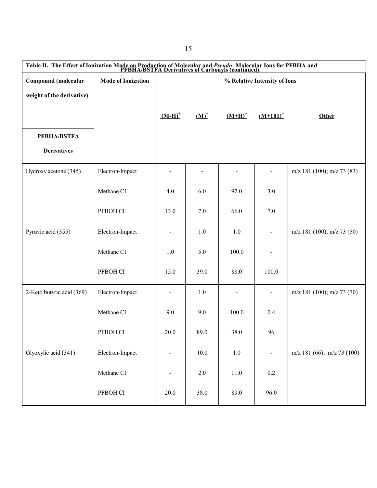| Table II. The Effect of Ionization Mode on Production of Molecular and <i>Pseudo-</i> Molecular Ions for PFBHA and PFBHA/BSTFA Derivatives of Carbonyls (continued). |                           |                              |         |           |                |                                |
|----------------------------------------------------------------------------------------------------------------------------------------------------------------------|---------------------------|------------------------------|---------|-----------|----------------|--------------------------------|
| Compound (molecular                                                                                                                                                  | <b>Mode of Ionization</b> | % Relative Intensity of Ions |         |           |                |                                |
| weight of the derivative)                                                                                                                                            |                           |                              |         |           |                |                                |
|                                                                                                                                                                      |                           | $(M-H)^+$                    | $(M)^+$ | $(M+H)^+$ | $(M+181)^+$    | Other                          |
| <b>PFBHA/BSTFA</b>                                                                                                                                                   |                           |                              |         |           |                |                                |
| <b>Derivatives</b>                                                                                                                                                   |                           |                              |         |           |                |                                |
| Hydroxy acetone (345)                                                                                                                                                | Electron-Impact           |                              |         |           |                | $m/z$ 181 (100); $m/z$ 73 (83) |
|                                                                                                                                                                      | Methane CI                | 4.0                          | 6.0     | 92.0      | 3.0            |                                |
|                                                                                                                                                                      | PFBOH CI                  | 13.0                         | 7.0     | 66.0      | 7.0            |                                |
| Pyruvic acid (355)                                                                                                                                                   | Electron-Impact           | $\overline{\phantom{a}}$     | 1.0     | 1.0       |                | $m/z$ 181 (100); $m/z$ 73 (50) |
|                                                                                                                                                                      | Methane CI                | 1.0                          | 5.0     | 100.0     |                |                                |
|                                                                                                                                                                      | PFBOH CI                  | 15.0                         | 39.0    | 88.0      | 100.0          |                                |
| 2-Keto butyric acid (369)                                                                                                                                            | Electron-Impact           |                              | 1.0     |           | $\blacksquare$ | m/z 181 (100); m/z 73 (70)     |
|                                                                                                                                                                      | Methane CI                | 9.0                          | 9.0     | 100.0     | 0.4            |                                |
|                                                                                                                                                                      | PFBOH CI                  | 20.0                         | 89.0    | 38.0      | 96             |                                |
| Glyoxylic acid (341)                                                                                                                                                 | Electron-Impact           |                              | 10.0    | $1.0\,$   |                | $m/z$ 181 (66); $m/z$ 73 (100) |
|                                                                                                                                                                      | Methane CI                | $\blacksquare$               | $2.0\,$ | 11.0      | $0.2\,$        |                                |
|                                                                                                                                                                      | PFBOH CI                  | $20.0$                       | 38.0    | 89.0      | 96.0           |                                |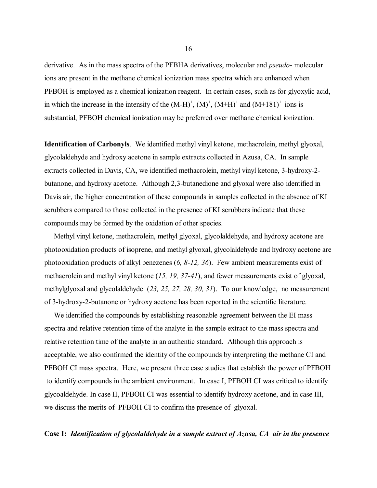derivative. As in the mass spectra of the PFBHA derivatives, molecular and *pseudo*- molecular ions are present in the methane chemical ionization mass spectra which are enhanced when PFBOH is employed as a chemical ionization reagent. In certain cases, such as for glyoxylic acid, in which the increase in the intensity of the  $(M-H)^{+}$ ,  $(M)^{+}$ ,  $(M+H)^{+}$  and  $(M+181)^{+}$  ions is substantial, PFBOH chemical ionization may be preferred over methane chemical ionization.

**Identification of Carbonyls**. We identified methyl vinyl ketone, methacrolein, methyl glyoxal, glycolaldehyde and hydroxy acetone in sample extracts collected in Azusa, CA. In sample extracts collected in Davis, CA, we identified methacrolein, methyl vinyl ketone, 3-hydroxy-2 butanone, and hydroxy acetone. Although 2,3-butanedione and glyoxal were also identified in Davis air, the higher concentration of these compounds in samples collected in the absence of KI scrubbers compared to those collected in the presence of KI scrubbers indicate that these compounds may be formed by the oxidation of other species.

 Methyl vinyl ketone, methacrolein, methyl glyoxal, glycolaldehyde, and hydroxy acetone are photooxidation products of isoprene, and methyl glyoxal, glycolaldehyde and hydroxy acetone are photooxidation products of alkyl benezenes (*6, 8-12, 36*). Few ambient measurements exist of methacrolein and methyl vinyl ketone (*15, 19, 37-41*), and fewer measurements exist of glyoxal, methylglyoxal and glycolaldehyde (*23, 25, 27, 28, 30, 31*). To our knowledge, no measurement of 3-hydroxy-2-butanone or hydroxy acetone has been reported in the scientific literature.

 We identified the compounds by establishing reasonable agreement between the EI mass spectra and relative retention time of the analyte in the sample extract to the mass spectra and relative retention time of the analyte in an authentic standard. Although this approach is acceptable, we also confirmed the identity of the compounds by interpreting the methane CI and PFBOH CI mass spectra. Here, we present three case studies that establish the power of PFBOH to identify compounds in the ambient environment. In case I, PFBOH CI was critical to identify glycoaldehyde. In case II, PFBOH CI was essential to identify hydroxy acetone, and in case III, we discuss the merits of PFBOH CI to confirm the presence of glyoxal.

# **Case I:** *Identification of glycolaldehyde in a sample extract of Azusa, CA air in the presence*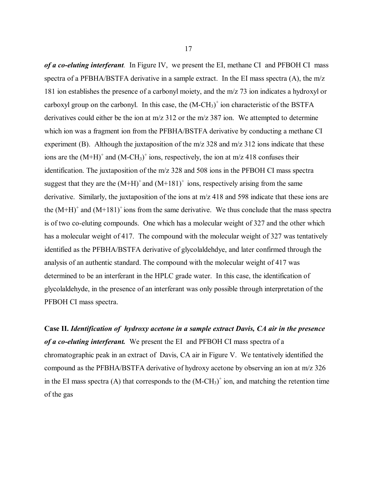*of a co-eluting interferant.* In Figure IV, we present the EI, methane CI and PFBOH CI mass spectra of a PFBHA/BSTFA derivative in a sample extract. In the EI mass spectra (A), the m/z 181 ion establishes the presence of a carbonyl moiety, and the m/z 73 ion indicates a hydroxyl or carboxyl group on the carbonyl. In this case, the  $(M-CH<sub>3</sub>)<sup>+</sup>$  ion characteristic of the BSTFA derivatives could either be the ion at m/z 312 or the m/z 387 ion. We attempted to determine which ion was a fragment ion from the PFBHA/BSTFA derivative by conducting a methane CI experiment (B). Although the juxtaposition of the m/z 328 and m/z 312 ions indicate that these ions are the  $(M+H)^+$  and  $(M-CH_3)^+$  ions, respectively, the ion at m/z 418 confuses their identification. The juxtaposition of the m/z 328 and 508 ions in the PFBOH CI mass spectra suggest that they are the  $(M+H)^+$  and  $(M+181)^+$  ions, respectively arising from the same derivative. Similarly, the juxtaposition of the ions at m/z 418 and 598 indicate that these ions are the  $(M+H)^+$  and  $(M+181)^+$  ions from the same derivative. We thus conclude that the mass spectra is of two co-eluting compounds. One which has a molecular weight of 327 and the other which has a molecular weight of 417. The compound with the molecular weight of 327 was tentatively identified as the PFBHA/BSTFA derivative of glycolaldehdye, and later confirmed through the analysis of an authentic standard. The compound with the molecular weight of 417 was determined to be an interferant in the HPLC grade water. In this case, the identification of glycolaldehyde, in the presence of an interferant was only possible through interpretation of the PFBOH CI mass spectra.

 *of a co-eluting interferant.* We present the EI and PFBOH CI mass spectra of a **Case II.** *Identification of hydroxy acetone in a sample extract Davis, CA air in the presence*  chromatographic peak in an extract of Davis, CA air in Figure V. We tentatively identified the compound as the PFBHA/BSTFA derivative of hydroxy acetone by observing an ion at m/z 326 in the EI mass spectra (A) that corresponds to the  $(M-CH<sub>3</sub>)<sup>+</sup>$  ion, and matching the retention time of the gas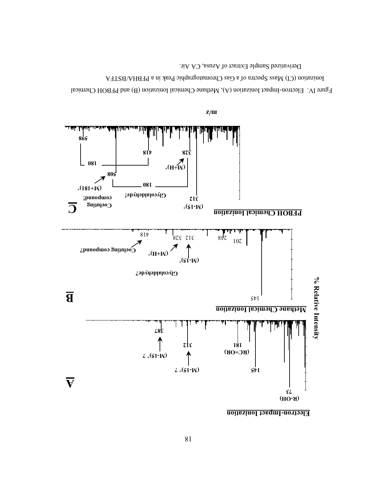

Fgure IV. Electron-Impact Ionization (A), Methane Chemical Ionization (B) and PFBOH Chemical Ionization (CI) Mass Spectra of a Gas Chromatographic Peak in a PFBHA/BSTFA

Derivatized Sample Extract of Azusa, CA Air.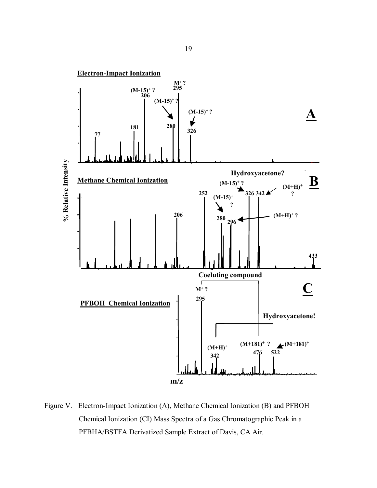<span id="page-29-0"></span>

Figure V. Electron-Impact Ionization (A), Methane Chemical Ionization (B) and PFBOH Chemical Ionization (CI) Mass Spectra of a Gas Chromatographic Peak in a PFBHA/BSTFA Derivatized Sample Extract of Davis, CA Air.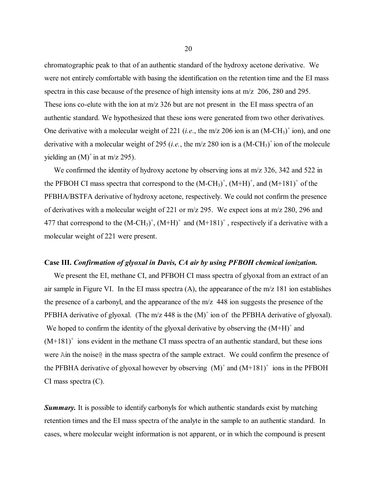chromatographic peak to that of an authentic standard of the hydroxy acetone derivative. We were not entirely comfortable with basing the identification on the retention time and the EI mass spectra in this case because of the presence of high intensity ions at m/z 206, 280 and 295. These ions co-elute with the ion at m/z 326 but are not present in the EI mass spectra of an authentic standard. We hypothesized that these ions were generated from two other derivatives. One derivative with a molecular weight of 221 (*i.e.*, the m/z 206 ion is an  $(M-CH<sub>3</sub>)<sup>+</sup>$  ion), and one derivative with a molecular weight of 295 (*i.e.*, the m/z 280 ion is a  $(M-CH<sub>3</sub>)<sup>+</sup>$  ion of the molecule yielding an  $(M)^+$  in at m/z 295).

We confirmed the identity of hydroxy acetone by observing ions at m/z 326, 342 and 522 in the PFBOH CI mass spectra that correspond to the  $(M-CH_3)^+$ ,  $(M+H)^+$ , and  $(M+181)^+$  of the PFBHA/BSTFA derivative of hydroxy acetone, respectively. We could not confirm the presence of derivatives with a molecular weight of 221 or m/z 295. We expect ions at m/z 280, 296 and 477 that correspond to the  $(M-CH<sub>3</sub>)<sup>+</sup>$ ,  $(M+H)<sup>+</sup>$  and  $(M+181)<sup>+</sup>$ , respectively if a derivative with a molecular weight of 221 were present.

#### **Case III.** *Confirmation of glyoxal in Davis, CA air by using PFBOH chemical ionization.*

We present the EI, methane CI, and PFBOH CI mass spectra of glyoxal from an extract of an air sample in Figure VI. In the EI mass spectra (A), the appearance of the m/z 181 ion establishes the presence of a carbonyl, and the appearance of the m/z 448 ion suggests the presence of the PFBHA derivative of glyoxal. (The m/z 448 is the  $(M)^+$  ion of the PFBHA derivative of glyoxal). We hoped to confirm the identity of the glyoxal derivative by observing the  $(M+H)^+$  and  $(M+181)^+$  ions evident in the methane CI mass spectra of an authentic standard, but these ions were Ain the noise in the mass spectra of the sample extract. We could confirm the presence of the PFBHA derivative of glyoxal however by observing  $(M)^+$  and  $(M+181)^+$  ions in the PFBOH CI mass spectra (C).

**Summary.** It is possible to identify carbonyls for which authentic standards exist by matching retention times and the EI mass spectra of the analyte in the sample to an authentic standard. In cases, where molecular weight information is not apparent, or in which the compound is present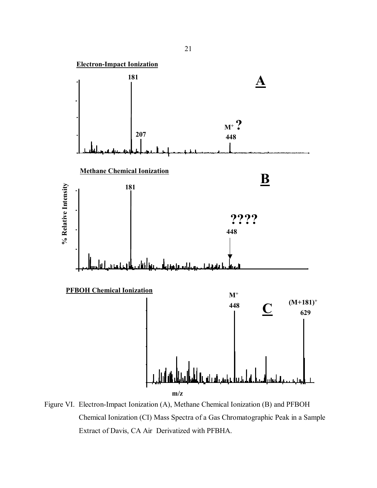<span id="page-31-0"></span>

Figure VI. Electron-Impact Ionization (A), Methane Chemical Ionization (B) and PFBOH Chemical Ionization (CI) Mass Spectra of a Gas Chromatographic Peak in a Sample Extract of Davis, CA Air Derivatized with PFBHA.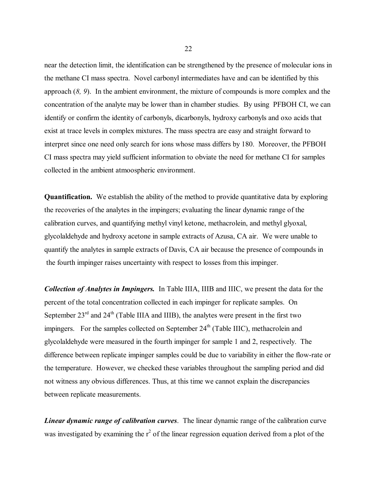near the detection limit, the identification can be strengthened by the presence of molecular ions in the methane CI mass spectra. Novel carbonyl intermediates have and can be identified by this approach (*8, 9*). In the ambient environment, the mixture of compounds is more complex and the concentration of the analyte may be lower than in chamber studies. By using PFBOH CI, we can identify or confirm the identity of carbonyls, dicarbonyls, hydroxy carbonyls and oxo acids that exist at trace levels in complex mixtures. The mass spectra are easy and straight forward to interpret since one need only search for ions whose mass differs by 180. Moreover, the PFBOH CI mass spectra may yield sufficient information to obviate the need for methane CI for samples collected in the ambient atmoospheric environment.

 **Quantification.** We establish the ability of the method to provide quantitative data by exploring the recoveries of the analytes in the impingers; evaluating the linear dynamic range of the calibration curves, and quantifying methyl vinyl ketone, methacrolein, and methyl glyoxal, glycolaldehyde and hydroxy acetone in sample extracts of Azusa, CA air. We were unable to quantify the analytes in sample extracts of Davis, CA air because the presence of compounds in the fourth impinger raises uncertainty with respect to losses from this impinger.

*Collection of Analytes in Impingers.* In Table IIIA, IIIB and IIIC, we present the data for the percent of the total concentration collected in each impinger for replicate samples. On September  $23^{\text{rd}}$  and  $24^{\text{th}}$  (Table IIIA and IIIB), the analytes were present in the first two impingers. For the samples collected on September  $24<sup>th</sup>$  (Table IIIC), methacrolein and glycolaldehyde were measured in the fourth impinger for sample 1 and 2, respectively. The difference between replicate impinger samples could be due to variability in either the flow-rate or the temperature. However, we checked these variables throughout the sampling period and did not witness any obvious differences. Thus, at this time we cannot explain the discrepancies between replicate measurements.

*Linear dynamic range of calibration curves*. The linear dynamic range of the calibration curve was investigated by examining the  $r^2$  of the linear regression equation derived from a plot of the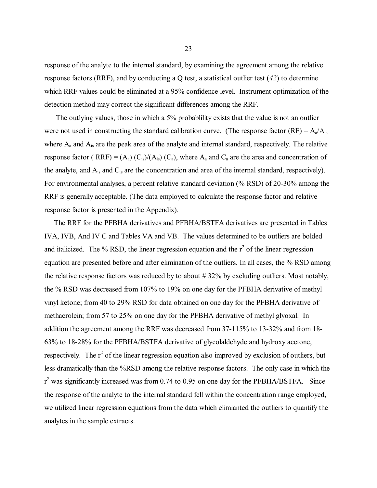response of the analyte to the internal standard, by examining the agreement among the relative response factors (RRF), and by conducting a Q test, a statistical outlier test (*42*) to determine which RRF values could be eliminated at a 95% confidence level. Instrument optimization of the detection method may correct the significant differences among the RRF.

The outlying values, those in which a 5% probability exists that the value is not an outlier were not used in constructing the standard calibration curve. (The response factor  $(RF) = A_a/A_{is}$ where  $A_a$  and  $A_i$  are the peak area of the analyte and internal standard, respectively. The relative response factor ( RRF) =  $(A_a)$  (C<sub>is</sub>)/ $(A_{is})$  (C<sub>a</sub>), where  $A_a$  and C<sub>a</sub> are the area and concentration of the analyte, and  $A_{is}$  and  $C_{is}$  are the concentration and area of the internal standard, respectively). For environmental analyses, a percent relative standard deviation (% RSD) of 20-30% among the RRF is generally acceptable. (The data employed to calculate the response factor and relative response factor is presented in the Appendix).

 The RRF for the PFBHA derivatives and PFBHA/BSTFA derivatives are presented in Tables IVA, IVB, And IV C and Tables VA and VB. The values determined to be outliers are bolded and italicized. The % RSD, the linear regression equation and the  $r^2$  of the linear regression equation are presented before and after elimination of the outliers. In all cases, the % RSD among the relative response factors was reduced by to about # 32% by excluding outliers. Most notably, the % RSD was decreased from 107% to 19% on one day for the PFBHA derivative of methyl vinyl ketone; from 40 to 29% RSD for data obtained on one day for the PFBHA derivative of methacrolein; from 57 to 25% on one day for the PFBHA derivative of methyl glyoxal. In addition the agreement among the RRF was decreased from 37-115% to 13-32% and from 18- 63% to 18-28% for the PFBHA/BSTFA derivative of glycolaldehyde and hydroxy acetone, respectively. The  $r^2$  of the linear regression equation also improved by exclusion of outliers, but less dramatically than the %RSD among the relative response factors. The only case in which the  $r^2$  was significantly increased was from 0.74 to 0.95 on one day for the PFBHA/BSTFA. Since the response of the analyte to the internal standard fell within the concentration range employed, we utilized linear regression equations from the data which elimianted the outliers to quantify the analytes in the sample extracts.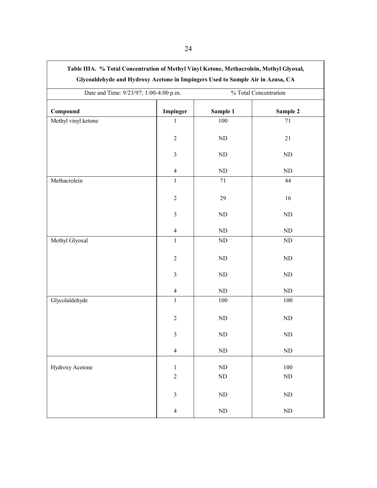|                     | Date and Time: 9/23/97; 1:00-4:00 p.m. |            | % Total Concentration |  |
|---------------------|----------------------------------------|------------|-----------------------|--|
| Compound            | Impinger                               | Sample 1   | Sample 2              |  |
| Methyl vinyl ketone | $\mathbf{1}$                           | 100        | 71                    |  |
|                     | $\sqrt{2}$                             | $\rm ND$   | $21\,$                |  |
|                     | $\overline{3}$                         | $\rm ND$   | ND                    |  |
|                     | $\overline{4}$                         | ${\rm ND}$ | ND                    |  |
| Methacrolein        | $\mathbf{1}$                           | 71         | 44                    |  |
|                     | $\overline{2}$                         | 29         | 16                    |  |
|                     | $\overline{3}$                         | $\rm ND$   | ND                    |  |
|                     | $\overline{4}$                         | $\rm ND$   | $\rm ND$              |  |
| Methyl Glyoxal      | $\mathbf{1}$                           | $\rm ND$   | $\rm ND$              |  |
|                     | $\sqrt{2}$                             | $\rm ND$   | $\rm ND$              |  |
|                     | $\mathfrak{Z}$                         | $\rm ND$   | ND                    |  |
|                     | $\overline{4}$                         | ${\rm ND}$ | $\rm ND$              |  |
| Glycolaldehyde      | $\mathbf{1}$                           | 100        | 100                   |  |
|                     | $\sqrt{2}$                             | $\rm ND$   | ND                    |  |
|                     | $\mathfrak{Z}$                         | $\rm ND$   | $\rm ND$              |  |
|                     | $\overline{4}$                         | $\rm ND$   | $\rm ND$              |  |
| Hydroxy Acetone     | $\mathbf{1}$                           | $\rm ND$   | 100                   |  |
|                     | $\overline{c}$                         | $\rm ND$   | $\rm ND$              |  |
|                     | $\mathfrak{Z}$                         | $\rm ND$   | $\rm ND$              |  |
|                     | $\overline{4}$                         | $\rm ND$   | $\rm ND$              |  |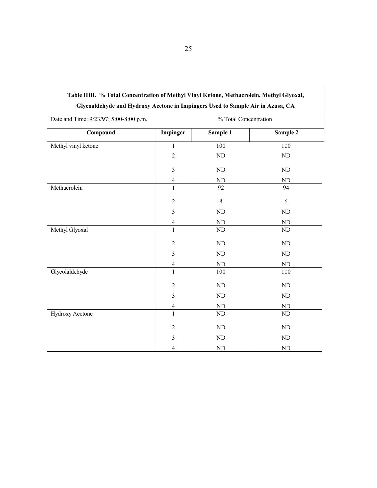| Glycoaldehyde and Hydroxy Acetone in Impingers Used to Sample Air in Azusa, CA |                |                       |            |  |
|--------------------------------------------------------------------------------|----------------|-----------------------|------------|--|
| Date and Time: 9/23/97; 5:00-8:00 p.m.                                         |                | % Total Concentration |            |  |
| Compound                                                                       | Impinger       | Sample 1              | Sample 2   |  |
| Methyl vinyl ketone                                                            | $\mathbf{1}$   | 100                   | 100        |  |
|                                                                                | $\overline{2}$ | ND                    | $\rm ND$   |  |
|                                                                                | $\overline{3}$ | ${\rm ND}$            | ND         |  |
|                                                                                | $\overline{4}$ | ND                    | $\rm ND$   |  |
| Methacrolein                                                                   | $\mathbf{1}$   | 92                    | 94         |  |
|                                                                                | $\overline{2}$ | $8\,$                 | 6          |  |
|                                                                                | $\overline{3}$ | ND                    | ND         |  |
|                                                                                | $\overline{4}$ | ND                    | ${\rm ND}$ |  |
| Methyl Glyoxal                                                                 | $\overline{1}$ | ND                    | ND         |  |
|                                                                                | $\overline{2}$ | ${\rm ND}$            | ${\rm ND}$ |  |
|                                                                                | $\overline{3}$ | ND                    | ND         |  |
|                                                                                | $\overline{4}$ | $\rm ND$              | $\rm ND$   |  |
| Glycolaldehyde                                                                 | $\mathbf{1}$   | 100                   | 100        |  |
|                                                                                | $\overline{2}$ | $\rm ND$              | ND         |  |
|                                                                                | $\overline{3}$ | ND                    | ND         |  |
|                                                                                | $\overline{4}$ | $\rm ND$              | ${\rm ND}$ |  |
| Hydroxy Acetone                                                                | $\mathbf{1}$   | ND                    | ND         |  |
|                                                                                | $\overline{2}$ | $\rm ND$              | ND         |  |
|                                                                                | $\overline{3}$ | ND                    | ND         |  |
|                                                                                | 4              | ND                    | ND         |  |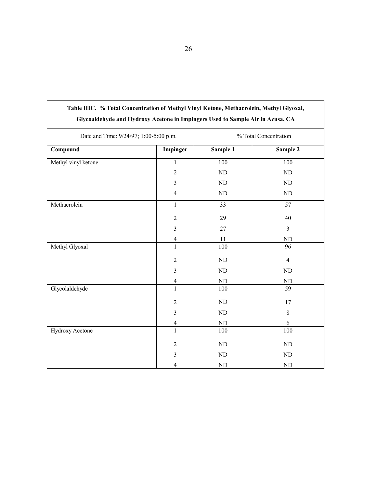| Date and Time: 9/24/97; 1:00-5:00 p.m. |                         | % Total Concentration |                  |  |
|----------------------------------------|-------------------------|-----------------------|------------------|--|
| Compound                               | Impinger                | Sample 1              | Sample 2         |  |
| Methyl vinyl ketone                    | $\mathbf{1}$            | 100                   | 100              |  |
|                                        | $\overline{c}$          | ND                    | ND               |  |
|                                        | $\overline{3}$          | ND                    | ND               |  |
|                                        | $\overline{4}$          | ND                    | $\rm ND$         |  |
| Methacrolein                           | $\mathbf{1}$            | $\overline{33}$       | $\overline{57}$  |  |
|                                        | $\overline{c}$          | 29                    | 40               |  |
|                                        | $\overline{\mathbf{3}}$ | $27\,$                | $\overline{3}$   |  |
|                                        | $\overline{4}$          | 11                    | ND               |  |
| Methyl Glyoxal                         | $\mathbf{1}$            | 100                   | 96               |  |
|                                        | $\overline{c}$          | $\rm ND$              | $\overline{4}$   |  |
|                                        | $\overline{\mathbf{3}}$ | $\rm ND$              | $\rm ND$         |  |
|                                        | $\overline{4}$          | $\rm ND$              | ND               |  |
| Glycolaldehyde                         | $\overline{1}$          | 100                   | 59               |  |
|                                        | $\boldsymbol{2}$        | $\rm ND$              | $17$             |  |
|                                        | $\mathfrak{Z}$          | $\rm ND$              | $8\,$            |  |
|                                        | $\overline{4}$          | $\rm ND$              | $\boldsymbol{6}$ |  |
| Hydroxy Acetone                        | $\overline{1}$          | 100                   | 100              |  |
|                                        | $\overline{2}$          | $\rm ND$              | $\rm ND$         |  |
|                                        | $\mathfrak{Z}$          | ND                    | $\rm ND$         |  |
|                                        | $\overline{4}$          | ND                    | $\rm ND$         |  |

# **Table IIIC. % Total Concentration of Methyl Vinyl Ketone, Methacrolein, Methyl Glyoxal, Glycoaldehyde and Hydroxy Acetone in Impingers Used to Sample Air in Azusa, CA**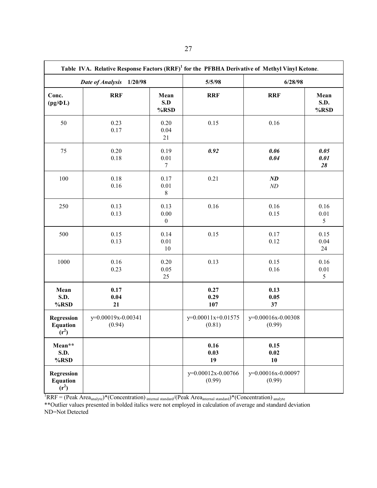|                                                 | Table IVA. Relative Response Factors (RRF) <sup>1</sup> for the PFBHA Derivative of Methyl Vinyl Ketone. |                                      |                                |                                 |                      |  |
|-------------------------------------------------|----------------------------------------------------------------------------------------------------------|--------------------------------------|--------------------------------|---------------------------------|----------------------|--|
|                                                 | Date of Analysis<br>1/20/98                                                                              |                                      | 5/5/98                         | 6/28/98                         |                      |  |
| Conc.<br>$(pg/\Phi L)$                          | <b>RRF</b>                                                                                               | Mean<br>S.D<br>%RSD                  | <b>RRF</b>                     | <b>RRF</b>                      | Mean<br>S.D.<br>%RSD |  |
| 50                                              | 0.23<br>0.17                                                                                             | 0.20<br>0.04<br>21                   | 0.15                           | 0.16                            |                      |  |
| 75                                              | 0.20<br>0.18                                                                                             | 0.19<br>0.01<br>$\tau$               | 0.92                           | 0.06<br>0.04                    | 0.05<br>0.01<br>28   |  |
| 100                                             | 0.18<br>0.16                                                                                             | 0.17<br>0.01<br>$\,8\,$              | 0.21                           | $\boldsymbol{N\!D}$<br>$\it ND$ |                      |  |
| 250                                             | 0.13<br>0.13                                                                                             | 0.13<br>$0.00\,$<br>$\boldsymbol{0}$ | 0.16                           | 0.16<br>0.15                    | 0.16<br>0.01<br>5    |  |
| 500                                             | 0.15<br>0.13                                                                                             | 0.14<br>$0.01\,$<br>10               | 0.15                           | 0.17<br>0.12                    | 0.15<br>0.04<br>24   |  |
| 1000                                            | 0.16<br>0.23                                                                                             | 0.20<br>0.05<br>25                   | 0.13                           | 0.15<br>0.16                    | 0.16<br>0.01<br>5    |  |
| Mean<br>S.D.<br>%RSD                            | 0.17<br>0.04<br>21                                                                                       |                                      | 0.27<br>0.29<br>107            | 0.13<br>0.05<br>37              |                      |  |
| <b>Regression</b><br><b>Equation</b><br>$(r^2)$ | y=0.00019x-0.00341<br>(0.94)                                                                             |                                      | $y=0.00011x+0.01575$<br>(0.81) | y=0.00016x-0.00308<br>(0.99)    |                      |  |
| Mean**<br>S.D.<br>%RSD                          |                                                                                                          |                                      | 0.16<br>0.03<br>19             | 0.15<br>0.02<br>10              |                      |  |
| <b>Regression</b><br><b>Equation</b><br>$(r^2)$ |                                                                                                          |                                      | y=0.00012x-0.00766<br>(0.99)   | y=0.00016x-0.00097<br>(0.99)    |                      |  |

 ${}^{1}RRF = (Peak Area_{analyte})*(Concentration)_{internal standard}/(Peak Area_{internal standard})*(Concentration)_{analyte})$ 

\*\*Outlier values presented in bolded italics were not employed in calculation of average and standard deviation ND=Not Detected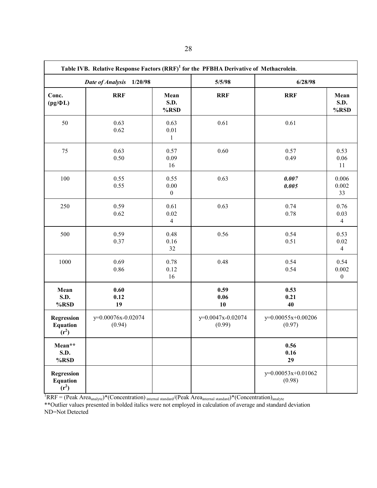| Table IVB. Relative Response Factors (RRF) <sup>1</sup> for the PFBHA Derivative of Methacrolein. |                              |                                  |                             |                              |                                    |  |
|---------------------------------------------------------------------------------------------------|------------------------------|----------------------------------|-----------------------------|------------------------------|------------------------------------|--|
| Date of Analysis<br>1/20/98                                                                       |                              |                                  | 5/5/98                      | 6/28/98                      |                                    |  |
| Conc.<br>$(pg/\Phi L)$                                                                            | <b>RRF</b>                   | Mean<br>S.D.<br>%RSD             | <b>RRF</b>                  | <b>RRF</b>                   | Mean<br>S.D.<br>%RSD               |  |
| 50                                                                                                | 0.63<br>0.62                 | 0.63<br>0.01<br>$\mathbf{1}$     | 0.61                        | 0.61                         |                                    |  |
| 75                                                                                                | 0.63<br>0.50                 | 0.57<br>0.09<br>16               | 0.60                        | 0.57<br>0.49                 | 0.53<br>0.06<br>11                 |  |
| 100                                                                                               | 0.55<br>0.55                 | 0.55<br>0.00<br>$\boldsymbol{0}$ | 0.63                        | 0.007<br>0.005               | 0.006<br>0.002<br>33               |  |
| 250                                                                                               | 0.59<br>0.62                 | 0.61<br>0.02<br>$\overline{4}$   | 0.63                        | 0.74<br>0.78                 | 0.76<br>0.03<br>$\overline{4}$     |  |
| 500                                                                                               | 0.59<br>0.37                 | 0.48<br>0.16<br>32               | 0.56                        | 0.54<br>0.51                 | 0.53<br>$0.02\,$<br>$\overline{4}$ |  |
| 1000                                                                                              | 0.69<br>0.86                 | 0.78<br>0.12<br>16               | 0.48                        | 0.54<br>0.54                 | 0.54<br>0.002<br>$\boldsymbol{0}$  |  |
| Mean<br>S.D.<br>%RSD                                                                              | 0.60<br>0.12<br>19           |                                  | 0.59<br>0.06<br>10          | 0.53<br>0.21<br>40           |                                    |  |
| <b>Regression</b><br><b>Equation</b><br>$(r^2)$                                                   | y=0.00076x-0.02074<br>(0.94) |                                  | y=0.0047x-0.02074<br>(0.99) | y=0.00055x+0.00206<br>(0.97) |                                    |  |
| Mean**<br>S.D.<br>%RSD                                                                            |                              |                                  |                             | 0.56<br>0.16<br>29           |                                    |  |
| <b>Regression</b><br><b>Equation</b><br>$(r^2)$                                                   |                              |                                  |                             | y=0.00053x+0.01062<br>(0.98) |                                    |  |

 ${}^{1}RRF = (Peak Area_{analyte})*(Concentration)_{internal standard}/(Peak Area_{internal standard})*(Concentration)_{analyte})$ 

\*\*Outlier values presented in bolded italics were not employed in calculation of average and standard deviation ND=Not Detected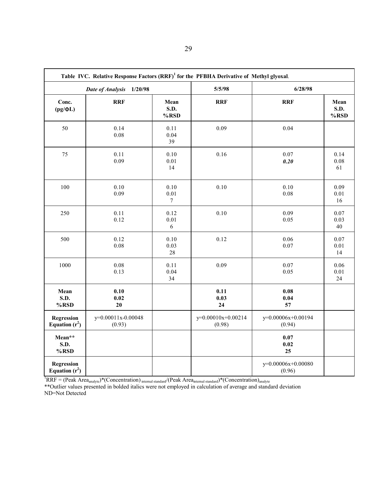|                                       | Table IVC. Relative Response Factors (RRF) <sup>1</sup> for the PFBHA Derivative of Methyl glyoxal. |                             |                              |                              |                      |
|---------------------------------------|-----------------------------------------------------------------------------------------------------|-----------------------------|------------------------------|------------------------------|----------------------|
| 1/20/98<br>Date of Analysis           |                                                                                                     |                             | 5/5/98                       | 6/28/98                      |                      |
| Conc.<br>$(pg/\Phi L)$                | <b>RRF</b>                                                                                          | Mean<br><b>S.D.</b><br>%RSD | <b>RRF</b>                   | <b>RRF</b>                   | Mean<br>S.D.<br>%RSD |
| 50                                    | 0.14<br>0.08                                                                                        | 0.11<br>0.04<br>39          | 0.09                         | 0.04                         |                      |
| 75                                    | 0.11<br>0.09                                                                                        | $0.10\,$<br>0.01<br>14      | 0.16                         | 0.07<br>0.20                 | 0.14<br>0.08<br>61   |
| 100                                   | $0.10\,$<br>0.09                                                                                    | $0.10\,$<br>0.01<br>$\tau$  | 0.10                         | 0.10<br>0.08                 | 0.09<br>0.01<br>16   |
| 250                                   | 0.11<br>0.12                                                                                        | 0.12<br>0.01<br>6           | 0.10                         | 0.09<br>0.05                 | 0.07<br>0.03<br>40   |
| 500                                   | 0.12<br>0.08                                                                                        | 0.10<br>0.03<br>$28\,$      | 0.12                         | 0.06<br>0.07                 | 0.07<br>0.01<br>14   |
| 1000                                  | $0.08\,$<br>0.13                                                                                    | 0.11<br>0.04<br>34          | 0.09                         | 0.07<br>0.05                 | 0.06<br>0.01<br>24   |
| Mean<br>S.D.<br>%RSD                  | 0.10<br>0.02<br>20                                                                                  |                             | 0.11<br>0.03<br>24           | 0.08<br>0.04<br>57           |                      |
| <b>Regression</b><br>Equation $(r^2)$ | y=0.00011x-0.00048<br>(0.93)                                                                        |                             | y=0.00010x+0.00214<br>(0.98) | y=0.00006x+0.00194<br>(0.94) |                      |
| Mean**<br><b>S.D.</b><br>$%$ RSD      |                                                                                                     |                             |                              | 0.07<br>0.02<br>25           |                      |
| <b>Regression</b><br>Equation $(r^2)$ |                                                                                                     |                             |                              | y=0.00006x+0.00080<br>(0.96) |                      |

 ${}^{1}RRF = (Peak Area_{analyte})*(Concentration)_{internal standard}/(Peak Area_{internal standard})*(Concentration)_{analyte})$ \*\*Outlier values presented in bolded italics were not employed in calculation of average and standard deviation ND=Not Detected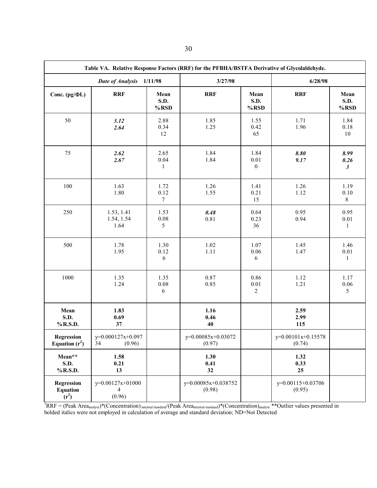| Table VA. Relative Response Factors (RRF) for the PFBHA/BSTFA Derivative of Glycolaldehyde. |                                                |                                 |                               |                                  |                              |                                      |
|---------------------------------------------------------------------------------------------|------------------------------------------------|---------------------------------|-------------------------------|----------------------------------|------------------------------|--------------------------------------|
| Date of Analysis 1/11/98                                                                    |                                                | 3/27/98                         |                               | 6/28/98                          |                              |                                      |
| Conc. $(pg/\Phi L)$                                                                         | <b>RRF</b>                                     | Mean<br>S.D.<br>$%$ RSD         | <b>RRF</b>                    | Mean<br>S.D.<br>%RSD             | <b>RRF</b>                   | Mean<br><b>S.D.</b><br>%RSD          |
| 50                                                                                          | 3.12<br>2.64                                   | 2.88<br>0.34<br>12              | 1.85<br>1.25                  | 1.55<br>0.42<br>65               | 1.71<br>1.96                 | 1.84<br>0.18<br>$10\,$               |
| 75                                                                                          | 2.62<br>2.67                                   | 2.65<br>0.04<br>1               | 1.84<br>1.84                  | 1.84<br>0.01<br>$\boldsymbol{0}$ | 8.80<br>9.17                 | 8.99<br>0.26<br>$\boldsymbol{\beta}$ |
| 100                                                                                         | 1.63<br>1.80                                   | 1.72<br>0.12<br>$7\phantom{.0}$ | 1.26<br>1.55                  | 1.41<br>0.21<br>15               | 1.26<br>1.12                 | 1.19<br>0.10<br>$8\,$                |
| 250                                                                                         | 1.53, 1.41<br>1.54, 1.54<br>1.64               | 1.53<br>$0.08\,$<br>5           | 0.48<br>$0.81\,$              | 0.64<br>0.23<br>36               | 0.95<br>0.94                 | 0.95<br>0.01<br>$\mathbf{1}$         |
| 500                                                                                         | 1.78<br>1.95                                   | 1.30<br>0.12<br>6               | 1.02<br>1.11                  | 1.07<br>0.06<br>6                | 1.45<br>1.47                 | 1.46<br>$0.01\,$<br>$\mathbf{1}$     |
| 1000                                                                                        | 1.35<br>1.24                                   | 1.35<br>0.08<br>6               | 0.87<br>0.85                  | 0.86<br>0.01<br>$\sqrt{2}$       | 1.12<br>1.21                 | 1.17<br>$0.06\,$<br>5                |
| Mean<br>S.D.<br>%R.S.D.                                                                     | 1.83<br>0.69<br>37                             |                                 | 1.16<br>0.46<br>40            |                                  | 2.59<br>2.99<br>115          |                                      |
| <b>Regression</b><br>Equation $(r^2)$                                                       | y=0.000127x+0.097<br>34<br>(0.96)              |                                 | y=0.00085x+0.03072<br>(0.97)  |                                  | y=0.00101x+0.15578<br>(0.74) |                                      |
| Mean**<br>S.D.<br>%R.S.D.                                                                   | 1.58<br>0.21<br>13                             |                                 | 1.30<br>0.41<br>32            |                                  | 1.32<br>0.33<br>25           |                                      |
| <b>Regression</b><br><b>Equation</b><br>$(r^2)$                                             | $y=0.00127x+01000$<br>$\overline{4}$<br>(0.96) |                                 | y=0.00085x+0.038752<br>(0.98) |                                  | y=0.00115+0.03706<br>(0.95)  |                                      |

 ${}^{1}RRF = (Peak Area_{analyte})*(Concentration)_{internal standard}/(Peak Area_{internal standard})*(Concentration)_{analyte}^{*}+9$ utlier values presented in bolded italics were not employed in calculation of average and standard deviation; ND=Not Detected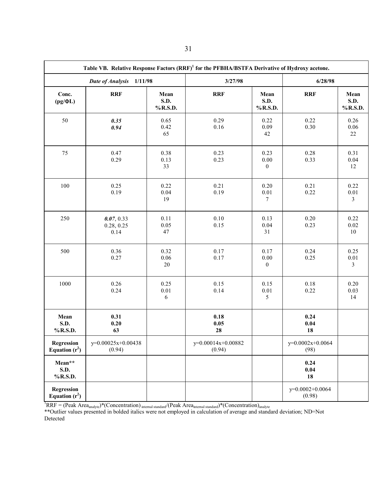| Table VB. Relative Response Factors (RRF) <sup>1</sup> for the PFBHA/BSTFA Derivative of Hydroxy acetone. |                                  |                                 |                              |                                      |                             |                                    |
|-----------------------------------------------------------------------------------------------------------|----------------------------------|---------------------------------|------------------------------|--------------------------------------|-----------------------------|------------------------------------|
| Date of Analysis<br>1/11/98                                                                               |                                  | 3/27/98                         |                              | 6/28/98                              |                             |                                    |
| Conc.<br>$(pg/\Phi L)$                                                                                    | <b>RRF</b>                       | Mean<br><b>S.D.</b><br>% R.S.D. | <b>RRF</b>                   | Mean<br>S.D.<br>%R.S.D.              | <b>RRF</b>                  | Mean<br><b>S.D.</b><br>%R.S.D.     |
| 50                                                                                                        | 0.35<br>0.94                     | 0.65<br>0.42<br>65              | 0.29<br>0.16                 | 0.22<br>0.09<br>42                   | 0.22<br>0.30                | 0.26<br>0.06<br>22                 |
| 75                                                                                                        | 0.47<br>0.29                     | 0.38<br>0.13<br>33              | 0.23<br>0.23                 | 0.23<br>$0.00\,$<br>$\boldsymbol{0}$ | 0.28<br>0.33                | 0.31<br>0.04<br>12                 |
| 100                                                                                                       | 0.25<br>0.19                     | 0.22<br>0.04<br>19              | 0.21<br>0.19                 | 0.20<br>$0.01\,$<br>$7\phantom{.0}$  | 0.21<br>0.22                | 0.22<br>$0.01\,$<br>$\overline{3}$ |
| 250                                                                                                       | 0.07, 0.33<br>0.28, 0.25<br>0.14 | 0.11<br>0.05<br>47              | $0.10\,$<br>0.15             | 0.13<br>0.04<br>31                   | $0.20\,$<br>0.23            | 0.22<br>0.02<br>10                 |
| 500                                                                                                       | 0.36<br>0.27                     | 0.32<br>$0.06\,$<br>$20\,$      | 0.17<br>0.17                 | 0.17<br>$0.00\,$<br>$\boldsymbol{0}$ | 0.24<br>0.25                | 0.25<br>$0.01\,$<br>$\overline{3}$ |
| 1000                                                                                                      | 0.26<br>0.24                     | 0.25<br>$0.01\,$<br>$\sqrt{6}$  | 0.15<br>0.14                 | 0.15<br>$0.01\,$<br>5                | 0.18<br>0.22                | 0.20<br>0.03<br>14                 |
| Mean<br>S.D.<br>%R.S.D.                                                                                   | 0.31<br>0.20<br>63               |                                 | 0.18<br>0.05<br>28           |                                      | 0.24<br>0.04<br>18          |                                    |
| <b>Regression</b><br>Equation $(r^2)$                                                                     | y=0.00025x+0.00438<br>(0.94)     |                                 | y=0.00014x+0.00882<br>(0.94) |                                      | $y=0.0002x+0.0064$<br>(98)  |                                    |
| Mean**<br>S.D.<br>% R.S.D.                                                                                |                                  |                                 |                              |                                      | 0.24<br>0.04<br>18          |                                    |
| <b>Regression</b><br>Equation $(r^2)$                                                                     |                                  |                                 |                              |                                      | $y=0.0002+0.0064$<br>(0.98) |                                    |

 ${}^{1}RRF = (Peak Area_{analyte})*(Concentration)_{internal standard}/(Peak Area_{internal standard})*(Concentration)_{analyte})$ 

\*\*Outlier values presented in bolded italics were not employed in calculation of average and standard deviation; ND=Not Detected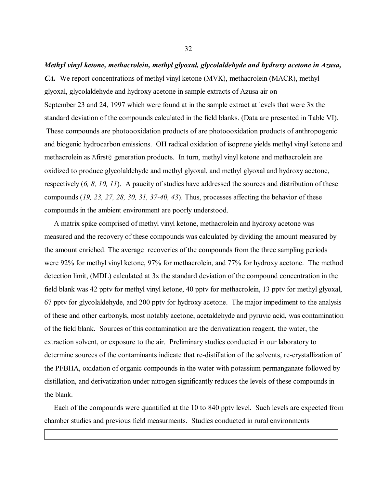#### *Methyl vinyl ketone, methacrolein, methyl glyoxal, glycolaldehyde and hydroxy acetone in Azusa,*

*CA.* We report concentrations of methyl vinyl ketone (MVK), methacrolein (MACR), methyl glyoxal, glycolaldehyde and hydroxy acetone in sample extracts of Azusa air on September 23 and 24, 1997 which were found at in the sample extract at levels that were 3x the standard deviation of the compounds calculated in the field blanks. (Data are presented in Table VI). These compounds are photoooxidation products of are photoooxidation products of anthropogenic and biogenic hydrocarbon emissions. OH radical oxidation of isoprene yields methyl vinyl ketone and methacrolein as Afirst@ generation products. In turn, methyl vinyl ketone and methacrolein are oxidized to produce glycolaldehyde and methyl glyoxal, and methyl glyoxal and hydroxy acetone, respectively (*6, 8, 10, 11*). A paucity of studies have addressed the sources and distribution of these compounds (*19, 23, 27, 28, 30, 31, 37-40, 43*). Thus, processes affecting the behavior of these compounds in the ambient environment are poorly understood.

 A matrix spike comprised of methyl vinyl ketone, methacrolein and hydroxy acetone was measured and the recovery of these compounds was calculated by dividing the amount measured by the amount enriched. The average recoveries of the compounds from the three sampling periods were 92% for methyl vinyl ketone, 97% for methacrolein, and 77% for hydroxy acetone. The method detection limit, (MDL) calculated at 3x the standard deviation of the compound concentration in the field blank was 42 pptv for methyl vinyl ketone, 40 pptv for methacrolein, 13 pptv for methyl glyoxal, 67 pptv for glycolaldehyde, and 200 pptv for hydroxy acetone. The major impediment to the analysis of these and other carbonyls, most notably acetone, acetaldehyde and pyruvic acid, was contamination of the field blank. Sources of this contamination are the derivatization reagent, the water, the extraction solvent, or exposure to the air. Preliminary studies conducted in our laboratory to determine sources of the contaminants indicate that re-distillation of the solvents, re-crystallization of the PFBHA, oxidation of organic compounds in the water with potassium permanganate followed by distillation, and derivatization under nitrogen significantly reduces the levels of these compounds in the blank.

Each of the compounds were quantified at the 10 to 840 pptv level. Such levels are expected from chamber studies and previous field measurments. Studies conducted in rural environments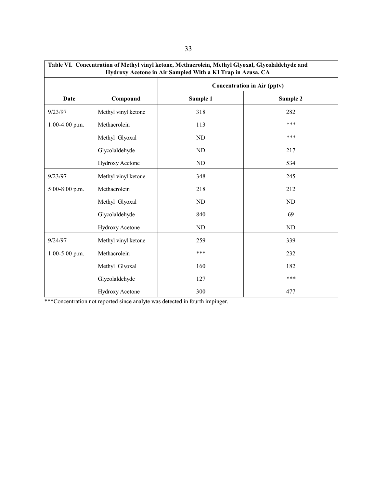| Table VI. Concentration of Methyl vinyl ketone, Methacrolein, Methyl Glyoxal, Glycolaldehyde and<br>Hydroxy Acetone in Air Sampled With a KI Trap in Azusa, CA |                                    |           |          |  |
|----------------------------------------------------------------------------------------------------------------------------------------------------------------|------------------------------------|-----------|----------|--|
|                                                                                                                                                                | <b>Concentration in Air (pptv)</b> |           |          |  |
| Date                                                                                                                                                           | Compound                           | Sample 1  | Sample 2 |  |
| 9/23/97                                                                                                                                                        | Methyl vinyl ketone                | 318       | 282      |  |
| $1:00-4:00$ p.m.                                                                                                                                               | Methacrolein                       | 113       | ***      |  |
|                                                                                                                                                                | Methyl Glyoxal                     | ND        | ***      |  |
|                                                                                                                                                                | Glycolaldehyde                     | ND        | 217      |  |
|                                                                                                                                                                | <b>Hydroxy Acetone</b>             | <b>ND</b> | 534      |  |
| 9/23/97                                                                                                                                                        | Methyl vinyl ketone                | 348       | 245      |  |
| $5:00-8:00$ p.m.                                                                                                                                               | Methacrolein                       | 218       | 212      |  |
|                                                                                                                                                                | Methyl Glyoxal                     | ND        | ND       |  |
|                                                                                                                                                                | Glycolaldehyde                     | 840       | 69       |  |
|                                                                                                                                                                | <b>Hydroxy Acetone</b>             | ND        | ND       |  |
| 9/24/97                                                                                                                                                        | Methyl vinyl ketone                | 259       | 339      |  |
| $1:00-5:00$ p.m.                                                                                                                                               | Methacrolein                       | ***       | 232      |  |
|                                                                                                                                                                | Methyl Glyoxal                     | 160       | 182      |  |
|                                                                                                                                                                | Glycolaldehyde                     | 127       | ***      |  |
|                                                                                                                                                                | <b>Hydroxy Acetone</b>             | 300       | 477      |  |

\*\*\*Concentration not reported since analyte was detected in fourth impinger.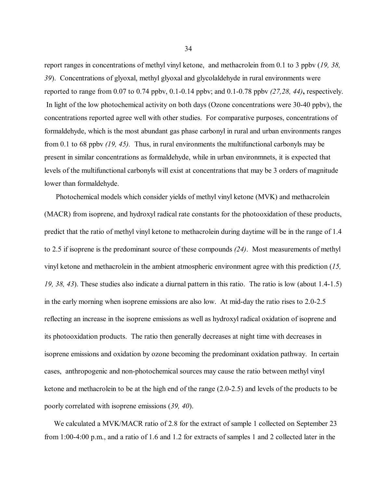report ranges in concentrations of methyl vinyl ketone, and methacrolein from 0.1 to 3 ppbv (*19, 38, 39*). Concentrations of glyoxal, methyl glyoxal and glycolaldehyde in rural environments were reported to range from 0.07 to 0.74 ppbv, [0.1-0.14](https://0.1-0.14) ppbv; and [0.1-0.78](https://0.1-0.78) ppbv *(27,28, 44)***,** respectively. In light of the low photochemical activity on both days (Ozone concentrations were 30-40 ppbv), the concentrations reported agree well with other studies. For comparative purposes, concentrations of formaldehyde, which is the most abundant gas phase carbonyl in rural and urban environments ranges from 0.1 to 68 ppbv *(19, 45).* Thus, in rural environments the multifunctional carbonyls may be present in similar concentrations as formaldehyde, while in urban environmnets, it is expected that levels of the multifunctional carbonyls will exist at concentrations that may be 3 orders of magnitude lower than formaldehyde.

 Photochemical models which consider yields of methyl vinyl ketone (MVK) and methacrolein (MACR) from isoprene, and hydroxyl radical rate constants for the photooxidation of these products, predict that the ratio of methyl vinyl ketone to methacrolein during daytime will be in the range of 1.4 to 2.5 if isoprene is the predominant source of these compounds *(24)*. Most measurements of methyl vinyl ketone and methacrolein in the ambient atmospheric environment agree with this prediction (*15, 19, 38, 43*). These studies also indicate a diurnal pattern in this ratio. The ratio is low (about 1.4-1.5) in the early morning when isoprene emissions are also low. At mid-day the ratio rises to 2.0-2.5 reflecting an increase in the isoprene emissions as well as hydroxyl radical oxidation of isoprene and its photooxidation products. The ratio then generally decreases at night time with decreases in isoprene emissions and oxidation by ozone becoming the predominant oxidation pathway. In certain cases, anthropogenic and non-photochemical sources may cause the ratio between methyl vinyl ketone and methacrolein to be at the high end of the range (2.0-2.5) and levels of the products to be poorly correlated with isoprene emissions (*39, 40*).

 We calculated a MVK/MACR ratio of 2.8 for the extract of sample 1 collected on September 23 from 1:00-4:00 p.m., and a ratio of 1.6 and 1.2 for extracts of samples 1 and 2 collected later in the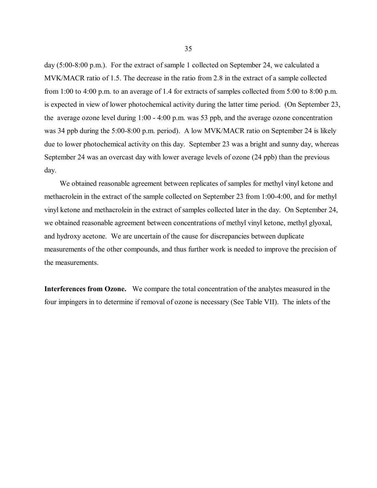<span id="page-45-0"></span>day (5:00-8:00 p.m.). For the extract of sample 1 collected on September 24, we calculated a MVK/MACR ratio of 1.5. The decrease in the ratio from 2.8 in the extract of a sample collected from 1:00 to 4:00 p.m. to an average of 1.4 for extracts of samples collected from 5:00 to 8:00 p.m. is expected in view of lower photochemical activity during the latter time period. (On September 23, the average ozone level during 1:00 - 4:00 p.m. was 53 ppb, and the average ozone concentration was 34 ppb during the 5:00-8:00 p.m. period). A low MVK/MACR ratio on September 24 is likely due to lower photochemical activity on this day. September 23 was a bright and sunny day, whereas September 24 was an overcast day with lower average levels of ozone (24 ppb) than the previous day.

 We obtained reasonable agreement between replicates of samples for methyl vinyl ketone and methacrolein in the extract of the sample collected on September 23 from 1:00-4:00, and for methyl vinyl ketone and methacrolein in the extract of samples collected later in the day. On September 24, we obtained reasonable agreement between concentrations of methyl vinyl ketone, methyl glyoxal, and hydroxy acetone. We are uncertain of the cause for discrepancies between duplicate measurements of the other compounds, and thus further work is needed to improve the precision of the measurements.

Interferences from Ozone. We compare the total concentration of the analytes measured in the four impingers in to determine if removal of ozone is necessary (See Table VII). The inlets of the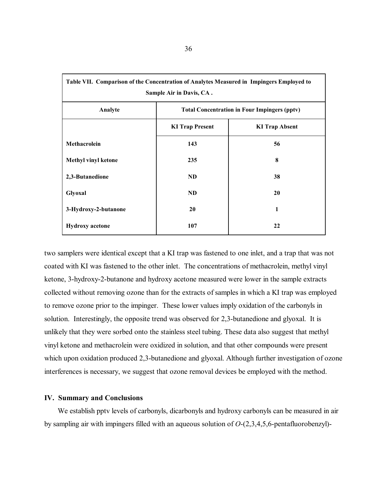| Table VII. Comparison of the Concentration of Analytes Measured in Impingers Employed to<br>Sample Air in Davis, CA. |                                                     |                       |  |  |  |
|----------------------------------------------------------------------------------------------------------------------|-----------------------------------------------------|-----------------------|--|--|--|
| Analyte                                                                                                              | <b>Total Concentration in Four Impingers (pptv)</b> |                       |  |  |  |
|                                                                                                                      | <b>KI Trap Present</b>                              | <b>KI Trap Absent</b> |  |  |  |
| <b>Methacrolein</b>                                                                                                  | 143                                                 | 56                    |  |  |  |
| <b>Methyl vinyl ketone</b>                                                                                           | 235                                                 | 8                     |  |  |  |
| 2,3-Butanedione                                                                                                      | <b>ND</b>                                           | 38                    |  |  |  |
| Glyoxal                                                                                                              | <b>ND</b>                                           | 20                    |  |  |  |
| 3-Hydroxy-2-butanone                                                                                                 | 20                                                  | 1                     |  |  |  |
| <b>Hydroxy</b> acetone                                                                                               | 107                                                 | 22                    |  |  |  |

two samplers were identical except that a KI trap was fastened to one inlet, and a trap that was not coated with KI was fastened to the other inlet. The concentrations of methacrolein, methyl vinyl ketone, 3-hydroxy-2-butanone and hydroxy acetone measured were lower in the sample extracts collected without removing ozone than for the extracts of samples in which a KI trap was employed to remove ozone prior to the impinger. These lower values imply oxidation of the carbonyls in solution. Interestingly, the opposite trend was observed for 2,3-butanedione and glyoxal. It is unlikely that they were sorbed onto the stainless steel tubing. These data also suggest that methyl vinyl ketone and methacrolein were oxidized in solution, and that other compounds were present which upon oxidation produced 2,3-butanedione and glyoxal. Although further investigation of ozone interferences is necessary, we suggest that ozone removal devices be employed with the method.

## **IV. Summary and Conclusions**

 We establish pptv levels of carbonyls, dicarbonyls and hydroxy carbonyls can be measured in air by sampling air with impingers filled with an aqueous solution of *O*-(2,3,4,5,6-pentafluorobenzyl)-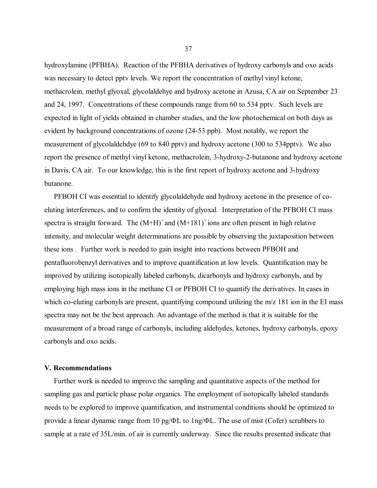<span id="page-47-0"></span>hydroxylamine (PFBHA). Reaction of the PFBHA derivatives of hydroxy carbonyls and oxo acids was necessary to detect pptv levels. We report the concentration of methyl vinyl ketone, methacrolein, methyl glyoxal, glycolaldehye and hydroxy acetone in Azusa, CA air on September 23 and 24, 1997. Concentrations of these compounds range from 60 to 534 pptv. Such levels are expected in light of yields obtained in chamber studies, and the low photochemical on both days as evident by background concentrations of ozone (24-53 ppb). Most notably, we report the measurement of glycolaldehdye (69 to 840 pptv) and hydroxy acetone (300 to 534pptv). We also report the presence of methyl vinyl ketone, methacrolein, 3-hydroxy-2-butanone and hydroxy acetone in Davis, CA air. To our knowledge, this is the first report of hydroxy acetone and 3-hydroxy butanone.

 PFBOH CI was essential to identify glycolaldehyde and hydroxy acetone in the presence of coeluting interferences, and to confirm the identity of glyoxal. Interpretation of the PFBOH CI mass spectra is straight forward. The  $(M+H)^+$  and  $(M+181)^+$  ions are often present in high relative intensity, and molecular weight determinations are possible by observing the juxtaposition between these ions . Further work is needed to gain insight into reactions between PFBOH and pentafluorobenzyl derivatives and to improve quantification at low levels. Quantification may be improved by utilizing isotopically labeled carbonyls, dicarbonyls and hydroxy carbonyls, and by employing high mass ions in the methane CI or PFBOH CI to quantify the derivatives. In cases in which co-eluting carbonyls are present, quantifying compound utilizing the m/z 181 ion in the EI mass spectra may not be the best approach. An advantage of the method is that it is suitable for the measurement of a broad range of carbonyls, including aldehydes, ketones, hydroxy carbonyls, epoxy carbonyls and oxo acids.

### **V. Recommendations**

 Further work is needed to improve the sampling and quantitative aspects of the method for sampling gas and particle phase polar organics. The employment of isotopically labeled standards needs to be explored to improve quantification, and instrumental conditions should be optimized to provide a linear dynamic range from 10 pg/ΦL to 1ng/ΦL. The use of mist (Cofer) scrubbers to sample at a rate of 35L/min. of air is currently underway. Since the results presented indicate that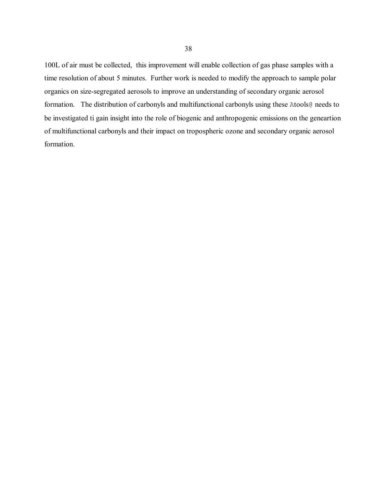<span id="page-48-0"></span> formation. 100L of air must be collected, this improvement will enable collection of gas phase samples with a time resolution of about 5 minutes. Further work is needed to modify the approach to sample polar organics on size-segregated aerosols to improve an understanding of secondary organic aerosol formation. The distribution of carbonyls and multifunctional carbonyls using these Atools@ needs to be investigated ti gain insight into the role of biogenic and anthropogenic emissions on the geneartion of multifunctional carbonyls and their impact on tropospheric ozone and secondary organic aerosol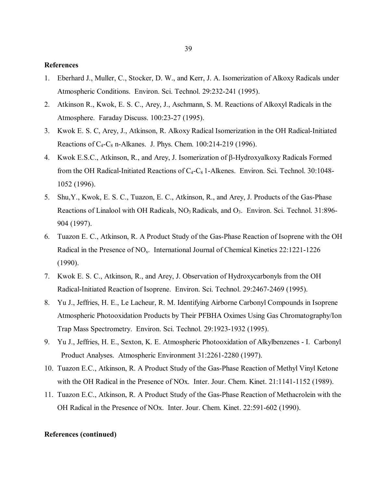#### **References**

- 1. Eberhard J., Muller, C., Stocker, D. W., and Kerr, J. A. Isomerization of Alkoxy Radicals under Atmospheric Conditions. Environ. Sci. Technol. 29:232-241 (1995).
- 2. Atkinson R., Kwok, E. S. C., Arey, J., Aschmann, S. M. Reactions of Alkoxyl Radicals in the Atmosphere. Faraday Discuss. 100:23-27 (1995).
- 3. Kwok E. S. C, Arey, J., Atkinson, R. Alkoxy Radical Isomerization in the OH Radical-Initiated Reactions of  $C_4$ - $C_8$  n-Alkanes. J. Phys. Chem. 100:214-219 (1996).
- 4. Kwok E.S.C., Atkinson, R., and Arey, J. Isomerization of β-Hydroxyalkoxy Radicals Formed from the OH Radical-Initiated Reactions of  $C_4$ - $C_8$  1-Alkenes. Environ. Sci. Technol. 30:1048-1052 (1996).
- 5. Shu,Y., Kwok, E. S. C., Tuazon, E. C., Atkinson, R., and Arey, J. Products of the Gas-Phase Reactions of Linalool with OH Radicals,  $NO<sub>3</sub>$  Radicals, and  $O<sub>3</sub>$ . Environ. Sci. Technol. 31:896-904 (1997).
- 6. Tuazon E. C., Atkinson, R. A Product Study of the Gas-Phase Reaction of Isoprene with the OH Radical in the Presence of NO<sub>x</sub>. International Journal of Chemical Kinetics 22:1221-1226 (1990).
- 7. Kwok E. S. C., Atkinson, R., and Arey, J. Observation of Hydroxycarbonyls from the OH Radical-Initiated Reaction of Isoprene. Environ. Sci. Technol. 29:2467-2469 (1995).
- 8. Yu J., Jeffries, H. E., Le Lacheur, R. M. Identifying Airborne Carbonyl Compounds in Isoprene Atmospheric Photooxidation Products by Their PFBHA Oximes Using Gas Chromatography/Ion Trap Mass Spectrometry. Environ. Sci. Technol. 29:1923-1932 (1995).
- 9. Yu J., Jeffries, H. E., Sexton, K. E. Atmospheric Photooxidation of Alkylbenzenes I. Carbonyl Product Analyses. Atmospheric Environment 31:2261-2280 (1997).
- 10. Tuazon E.C., Atkinson, R. A Product Study of the Gas-Phase Reaction of Methyl Vinyl Ketone with the OH Radical in the Presence of NOx. Inter. Jour. Chem. Kinet. 21:1141-1152 (1989).
- 11. Tuazon E.C., Atkinson, R. A Product Study of the Gas-Phase Reaction of Methacrolein with the OH Radical in the Presence of NOx. Inter. Jour. Chem. Kinet. 22:591-602 (1990).

#### **References (continued)**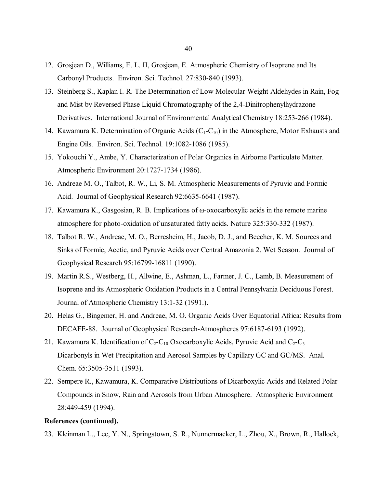- 12. Grosjean D., Williams, E. L. II, Grosjean, E. Atmospheric Chemistry of Isoprene and Its Carbonyl Products. Environ. Sci. Technol. 27:830-840 (1993).
- 13. Steinberg S., Kaplan I. R. The Determination of Low Molecular Weight Aldehydes in Rain, Fog and Mist by Reversed Phase Liquid Chromatography of the 2,4-Dinitrophenylhydrazone Derivatives. International Journal of Environmental Analytical Chemistry 18:253-266 (1984).
- 14. Kawamura K. Determination of Organic Acids  $(C_1-C_{10})$  in the Atmosphere, Motor Exhausts and Engine Oils. Environ. Sci. Technol. 19:1082-1086 (1985).
- 15. Yokouchi Y., Ambe, Y. Characterization of Polar Organics in Airborne Particulate Matter. Atmospheric Environment 20:1727-1734 (1986).
- 16. Andreae M. O., Talbot, R. W., Li, S. M. Atmospheric Measurements of Pyruvic and Formic Acid. Journal of Geophysical Research 92:6635-6641 (1987).
- 17. Kawamura K., Gasgosian, R. B. Implications of ω-oxocarboxylic acids in the remote marine atmosphere for photo-oxidation of unsaturated fatty acids. Nature 325:330-332 (1987).
- 18. Talbot R. W., Andreae, M. O., Berresheim, H., Jacob, D. J., and Beecher, K. M. Sources and Sinks of Formic, Acetic, and Pyruvic Acids over Central Amazonia 2. Wet Season. Journal of Geophysical Research 95:16799-16811 (1990).
- 19. Martin R.S., Westberg, H., Allwine, E., Ashman, L., Farmer, J. C., Lamb, B. Measurement of Isoprene and its Atmospheric Oxidation Products in a Central Pennsylvania Deciduous Forest. Journal of Atmospheric Chemistry 13:1-32 (1991.).
- 20. Helas G., Bingemer, H. and Andreae, M. O. Organic Acids Over Equatorial Africa: Results from DECAFE-88. Journal of Geophysical Research-Atmospheres 97:6187-6193 (1992).
- 21. Kawamura K. Identification of  $C_2$ -C<sub>10</sub> Oxocarboxylic Acids, Pyruvic Acid and C<sub>2</sub>-C<sub>3</sub> Dicarbonyls in Wet Precipitation and Aerosol Samples by Capillary GC and GC/MS. Anal. Chem. 65:3505-3511 (1993).
- 22. Sempere R., Kawamura, K. Comparative Distributions of Dicarboxylic Acids and Related Polar Compounds in Snow, Rain and Aerosols from Urban Atmosphere. Atmospheric Environment 28:449-459 (1994).

#### **References (continued).**

23. Kleinman L., Lee, Y. N., Springstown, S. R., Nunnermacker, L., Zhou, X., Brown, R., Hallock,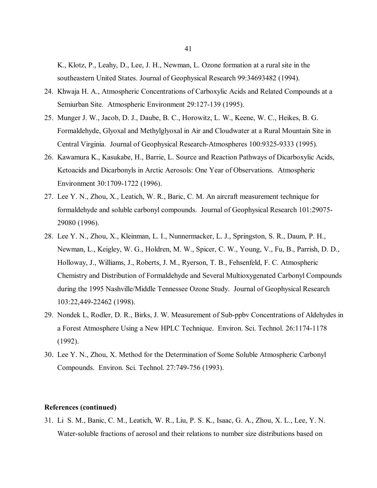K., Klotz, P., Leahy, D., Lee, J. H., Newman, L. Ozone formation at a rural site in the southeastern United States. Journal of Geophysical Research 99:34693482 (1994).

- 24. Khwaja H. A., Atmospheric Concentrations of Carboxylic Acids and Related Compounds at a Semiurban Site. Atmospheric Environment 29:127-139 (1995).
- 25. Munger J. W., Jacob, D. J., Daube, B. C., Horowitz, L. W., Keene, W. C., Heikes, B. G. Formaldehyde, Glyoxal and Methylglyoxal in Air and Cloudwater at a Rural Mountain Site in Central Virginia. Journal of Geophysical Research-Atmospheres 100:9325-9333 (1995).
- 26. Kawamura K., Kasukabe, H., Barrie, L. Source and Reaction Pathways of Dicarboxylic Acids, Ketoacids and Dicarbonyls in Arctic Aerosols: One Year of Observations. Atmospheric Environment 30:1709-1722 (1996).
- 27. Lee Y. N., Zhou, X., Leatich, W. R., Baric, C. M. An aircraft measurement technique for formaldehyde and soluble carbonyl compounds. Journal of Geophysical Research 101:29075- 29080 (1996).
- 28. Lee Y. N., Zhou, X., Kleinman, L. I., Nunnermacker, L. J., Springston, S. R., Daum, P. H., Newman, L., Keigley, W. G., Holdren, M. W., Spicer, C. W., Young, V., Fu, B., Parrish, D. D., Holloway, J., Williams, J., Roberts, J. M., Ryerson, T. B., Fehsenfeld, F. C. Atmospheric Chemistry and Distribution of Formaldehyde and Several Multioxygenated Carbonyl Compounds during the 1995 Nashville/Middle Tennessee Ozone Study. Journal of Geophysical Research 103:22,449-22462 (1998).
- 29. Nondek L, Rodler, D. R., Birks, J. W. Measurement of Sub-ppbv Concentrations of Aldehydes in a Forest Atmosphere Using a New HPLC Technique. Environ. Sci. Technol. 26:1174-1178 (1992).
- 30. Lee Y. N., Zhou, X. Method for the Determination of Some Soluble Atmospheric Carbonyl Compounds. Environ. Sci. Technol. 27:749-756 (1993).

# **References (continued)**

31. Li S. M., Banic, C. M., Leatich, W. R., Liu, P. S. K., Isaac, G. A., Zhou, X. L., Lee, Y. N. Water-soluble fractions of aerosol and their relations to number size distributions based on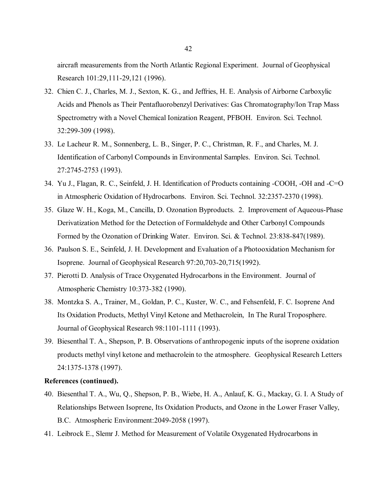aircraft measurements from the North Atlantic Regional Experiment. Journal of Geophysical Research 101:29,111-29,121 (1996).

- 32. Chien C. J., Charles, M. J., Sexton, K. G., and Jeffries, H. E. Analysis of Airborne Carboxylic Acids and Phenols as Their Pentafluorobenzyl Derivatives: Gas Chromatography/Ion Trap Mass Spectrometry with a Novel Chemical Ionization Reagent, PFBOH. Environ. Sci. Technol. 32:299-309 (1998).
- 33. Le Lacheur R. M., Sonnenberg, L. B., Singer, P. C., Christman, R. F., and Charles, M. J. Identification of Carbonyl Compounds in Environmental Samples. Environ. Sci. Technol. 27:2745-2753 (1993).
- 34. Yu J., Flagan, R. C., Seinfeld, J. H. Identification of Products containing -COOH, -OH and -C=O in Atmospheric Oxidation of Hydrocarbons. Environ. Sci. Technol. 32:2357-2370 (1998).
- 35. Glaze W. H., Koga, M., Cancilla, D. Ozonation Byproducts. 2. Improvement of Aqueous-Phase Derivatization Method for the Detection of Formaldehyde and Other Carbonyl Compounds Formed by the Ozonation of Drinking Water. Environ. Sci. & Technol. 23:838-847(1989).
- 36. Paulson S. E., Seinfeld, J. H. Development and Evaluation of a Photooxidation Mechanism for Isoprene. Journal of Geophysical Research 97:20,703-20,715(1992).
- 37. Pierotti D. Analysis of Trace Oxygenated Hydrocarbons in the Environment. Journal of Atmospheric Chemistry 10:373-382 (1990).
- 38. Montzka S. A., Trainer, M., Goldan, P. C., Kuster, W. C., and Fehsenfeld, F. C. Isoprene And Its Oxidation Products, Methyl Vinyl Ketone and Methacrolein, In The Rural Troposphere. Journal of Geophysical Research 98:1101-1111 (1993).
- 39. Biesenthal T. A., Shepson, P. B. Observations of anthropogenic inputs of the isoprene oxidation products methyl vinyl ketone and methacrolein to the atmosphere. Geophysical Research Letters 24:1375-1378 (1997).

## **References (continued).**

- 40. Biesenthal T. A., Wu, Q., Shepson, P. B., Wiebe, H. A., Anlauf, K. G., Mackay, G. I. A Study of Relationships Between Isoprene, Its Oxidation Products, and Ozone in the Lower Fraser Valley, B.C. Atmospheric Environment:2049-2058 (1997).
- 41. Leibrock E., Slemr J. Method for Measurement of Volatile Oxygenated Hydrocarbons in